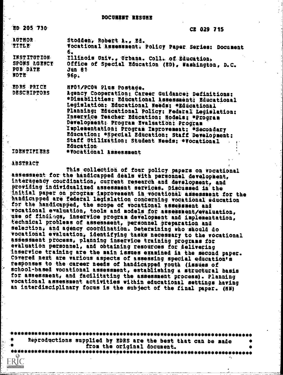#### DOCUMENT RESUNE

"ED 205 '730' CE 029 715

AUTHOR Stodden, Robert A., Ed.<br>TITLE Vocational Assessment: Policy Paper Series: Document 6.<br>Illinois Univ., Urbana. Coll. of Education. INSTITUTION, ILlinois Univ., Urbana. Coll. of Education.<br>SPOWS AGENCY office of Special Education (ED), Washington, D.C.<br>PUB DATE 3 Jun 81 PUBS DATE Jun-<br>NOTE 96p. NOTE- 96p. EDRS PRICE MP01/PC04 Plus Postage.<br>DESCRIPTORS - Agency Cooperation: Car Agency Cooperation; Career Guidance: Definitions: \*Disabilities: Educational Assessment: Educational Legislation: Educational Needs: \*Educational Planning; Educational Policy; Federal Legislation; Inservice Teacher Education: Hodels; \*Program Development: Program-Evaluation: Program Implementation: Program Improvement: \*Secondary

Education: \*Special Education: Staff Development: Staff Utilization: Student Needs: #Vocational **Education** IDENTIFIERS \*Vocational Assessment

#### **ABSTRACT**

 $\mathbf{\dot{r}}$ 

**FRIC** 

This-c011eCtion, of four policy papers on vocational assessment for the handicapped deals with personnel development, interagency courdination, current research and development, and providing individualized assessment services. Discussed in the initial paper on program improvement in vocational assessment for the handicapped are federal legislation concerning vocational education for the handicapped, the scope of vocational assessment and vocational evaluation, tools and models for assessment/evaluation, use of findimgs, inservice program development and implementation, technical problems of assessment, personnel preparation and selection, and agency coordination. Determining who should do 'vocational evaluation, identifying tasks necessary to the vocational assessment process, planning inservice training programs for evaluation personnel, and obtaining resources for delivering inservice training are the main issues examined in the second paper. Covered next are various aspects of assessing special education's responses to the career needs of handicapped youth (issues of school-based vocational assessment, establishing a structural basis for assessment, and facilitating the assessment process). Planning vocational assessment activities within educational settings having an interdisciplinary focus is the subject of the final paper. (MN)

4101440410#4441\*\*\*\*\*\*\*41104410\*\*\*1010111010041101000\*########\*1044444141101041411010\*44#10#1010010 Reproductions supplied by !DRS are the best that can be made <sup>4</sup> from the original document.

\*\*\*\*\*\*\*\*\*\*\*\*\*\*\*\*\*\*\*\*\*\*\*\*\*\*\*\*\*\*\*\*\*\*\*\*\*\*\*\*\*\*\*\*\*\*\*\*\*\*\*\*\*\*\*\*\*\*\*\*\*\*\*\*\*\*\*\*\*\*\*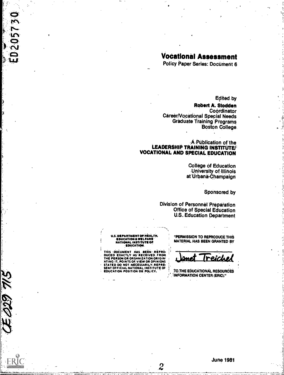# Vocational Assessment

Policy Paper Series: Document 6

**Edited by** 

Robert A. Stodden **Coordinator** Career/Vocational Special Needs Graduate Training Programs Boston College.

#### A Püblication of the LEADERSHIP TRAINING INSTITUTE! VOCATIONAL AND SPECIAL EDUCATION

**College of Education** University of Illinois at Urbana-Champaign

Sponsored by

Division of Personnel Preparation **Office of Special Education** U.S.,Education Department

U.S. DEPARTMENT OF HEALTH,<br>- EDUCATION & WELFARE<br>- NATIONAL INSTITUTE OF<br>- EDUCATION

THIS - DOCUMENT .HAS .. BEEN - REPRO<br>DUCED EXACTLY .AS .RECEIVED .FROM THE PERSON OR GAMIZATION ORIGIN:<br>THE PERSON OR ORGANIZATION ORIGIN:<br>STATED DO NOT-NECESSARILY.REPRE-<br>SENT OFFICIAL NATION OR POLICY. TO THE E

 $\overline{2}$ 

16...

ENE 680'E

 $E0205730$ 

PERMISSION TO REPRODUCE THIS MATERIAL HAS BEEN GRANTED BY

I reiche

.TO.:THE EDUCATIONAL RESOURCES ; INFORMATION CENTER (ERIC)."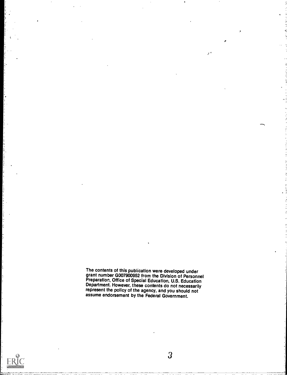The contents of this publication were developed under grant number G007900952 from the Division of Personnel Preparation, Office of Special Education, U.S. Education Department. However, these contents do not necessarily represent the policy of the agency, and you should not assume endorsement by the Federal Government.

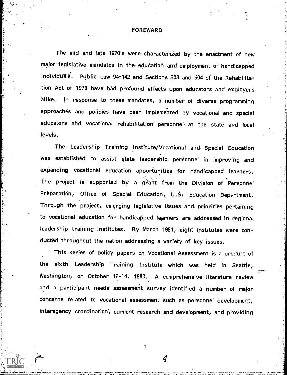#### **FOREWARD**

The mid and late 1970's were characterized by the enactment of new major legislative mandates in the edudation and employment of handicapped individuals. Public Law 94-142 and Sections 503 and 504 of the Rehabilitation Act of 1973 have had profound effects upon educators and employers alike. In response to these mandates, a number of diverse programming approaches and policies have .been implemented by vocational and special educators and vocational rehabilitation personnel at the state and local levels.

The Leadership- Training Institute/Vocational and Special Edudation was established to assist state leadership personnel in improving and expanding vocational education opportunities for handicapped learners. The project is supported by a grant from the Division of Personnel Preparation, Office of Special Education, U.S. Education Department. Through the project, emerging legislative issues and priorities pertaining to vocational education for handicapped learners are addressed in regional leadership training institutes. By March 1981, eight institutes were conducted throughout the nation addressing a variety of key issues.

This series of policy papers on Vocational Assessment is a product of the sixth Leadership Training Institute which was held in Seattle, Washington, on October 12-14, 1980. A comprehensive literature review and a participant needs assessment survey identified a number of major concerns related to vocational assessment such as personnel development, interagency coordination', current research and, development, and providing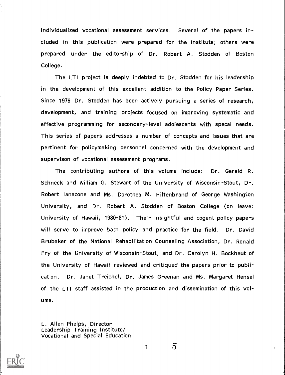individualized vocational assessment services. Several of the papers included in this publication were prepared for the institute; others were prepared under the editorship of Dr. Robert A. Stodden of Boston College.

The LTI project is deeply indebted to Dr. Stodden for his leadership in the development of this excellent addition to the Policy Paper Series. Since 1976 Dr. Stodden has been actively pursuing a series of research, development, and training projects focused on improving systematic and effective programming for secondary-level adolescents with specal needs. This series of papers addresses a number of concepts and issues that are pertinent for policymaking personnel concerned with the development and supervison of vocational assessment programs.

The contributing authors of this volume include: Dr. Gerald R. Schneck and William G. Stewart of the University of Wisconsin-Stout, Dr. Robert lanacone and Ms. Dorothea M. Hiltenbrand of George Washington University, and Dr. Robert A. Stodden of Boston College (on leave: University of Hawaii, 1980-81). Their insightful and cogent policy papers will serve to improve both policy and practice for the field. Dr. David Brubaker of the National Rehabilitation Counseling Association, Dr. Ronald Fry of the University of Wisconsin-Stout, and Dr. Carolyn H. Bockhaut of the University of Hawaii reviewed and critiqued the papers prior to publication. Dr. Janet Treichel, Dr. James Greenan and Ms. Margaret Hensel of the LTI staff assisted in the production and dissemination of this volume.

L. Allen Phelps, Director Leadership Training Institute/ Vocational and Special Education



ii  $5$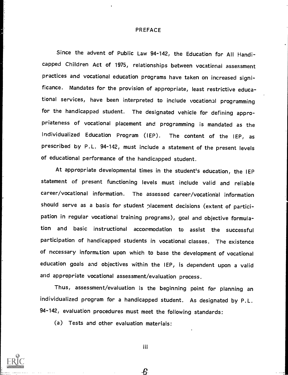#### PREFACE

Since the advent of Public Law 94-142, the Education for All Handicapped Children Act of 1975, relationships between vocational assessment practices and vocational education programs have taken on increased significance. Mandates for the provision of appropriate, least restrictive educational services, have been interpreted to include vocational programming for the handicapped student. The designated vehicle for defining appropriateness of vocational placement and programming is mandated as the Individualized Education Program (IEP). The content of the IEP, as prescribed by P.L. 94-142, must include a statement of the present levels of educational performance of the handicapped student.

At appropriate developmental times in the student's education, the IEP statement of present functioning levels must include valid and reliable career/vocational information. The assessed career /vocational information should serve as a basis for student placement decisions (extent of participation in regular vocational training programs), goal and objective formulation and basic instructional accommodation to assist the successful participation of handicapped students in vocational classes. The existence of necessary information upon which to base the development of vocational education goals and objectives within the IEP, is dependent upon a valid and appropriate vocational assessment/evaluation process.

Thus, assessment/evaluation is the beginning point for planning an individualized program for a handicapped student. As designated by P.L. 94-142, evaluation procedures must meet the following standards:

(a) Tests and other evaluation materials:

iii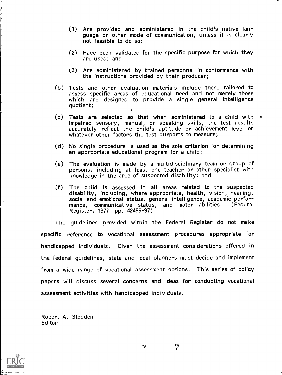- (1) Are provided and administered in the child's native language or other mode of communication, unless it is clearly not feasible to do so;
- (2) Have been validated for the specific purpose for which they are used; and
- (3) Are administered by trained personnel in conformance with the instructions provided by their producer;
- (b) Tests and other evaluation materials include those tailored to assess specific areas of educational need and not merely those which are designed to provide <sup>a</sup> single general intelligence quotient;
- $(c)$  Tests are selected so that when administered to a child with  $\frac{1}{2}$ impaired sensory, manual, or speaking skills, the test results accurately reflect the child's aptitude or achievement level or whatever other factors the test purports to measure;
- (d) No single procedure is used as the sole criterion for determining an appropriate educational program for a child;
- (e) The evaluation is made by a multidisciplinary team or group of persons, including at least one teacher or other specialist with knowledge in tne area of suspected disability; and
- $(f)$  The child is assessed in all areas related to the suspected disability, including, where appropriate, health, vision, hearing, social and emotional status, general intelligence, academic performance, communicative status, and motor abilities. (Federal Register, 1977, pp. 42496-97)

The guidelines provided within the Federal Register do not make specific reference to vocational assessment procedures appropriate for handicapped individuals. Given the assessment considerations offered in the federal guidelines, state and local planners must decide and implement from a wide range of vocational assessment options. This series of policy papers will discuss several concerns and ideas for conducting vocational assessment activities with handicapped individuals.

Robert A. Stodden Editor

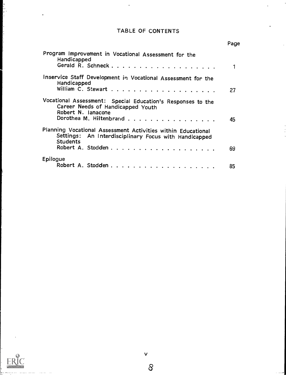# TABLE OF CONTENTS

 $\ddot{\phantom{0}}$ 

 $\ddot{\phantom{0}}$ 

|                                                                                                                                                   | Page |
|---------------------------------------------------------------------------------------------------------------------------------------------------|------|
| Program Improvement in Vocational Assessment for the<br>Handicapped                                                                               |      |
| Inservice Staff Development in Vocational Assessment for the<br>Handicapped                                                                       | 27   |
| Vocational Assessment: Special Education's Responses to the<br>Career Needs of Handicapped Youth<br>Robert N. Ianacone<br>Dorothea M. Hiltenbrand | 45   |
| Planning Vocational Assessment Activities within Educational<br>Settings: An Interdisciplinary Focus with Handicapped<br><b>Students</b>          | 69   |
| Epilogue                                                                                                                                          | 85   |



ļ.

 $\checkmark$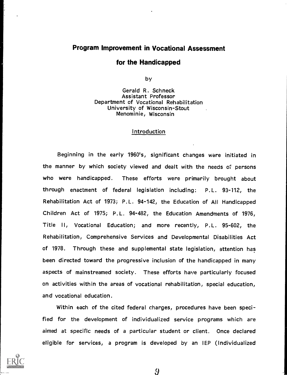#### Program Improvement in Vocational Assessment

#### for the Handicapped

by

Gerald R. Schneck Assistant Professor Department of Vocational Rehabilitation University of Wisconsin-Stout Menominie, Wisconsin

#### Introduction

Beginning in the early 1960's, significant changes were initiated in the manner by which society viewed and dealt with the needs of persons who were handicapped. These efforts were primarily brought about through enactment of federal legislation including: P.L. 93-112, the Rehabilitation Act of 1973; P.L. 94-142, the Education of All Handicapped Children Act of 1975; P.L. 94-482, the Education Amendments of 1976, Title II, Vocational Education; and more recently, P.L. 95-602, the Rehabilitation, Comprehensive Services and Developmental Disabilities Act of 1978. Through these and supplemental state legislation, attention has been directed toward the progressive inclusion of the handicapped in many aspects of mainstreamed society. These efforts have particularly focused on activities within the areas of vocational rehabilitation, special education, and vocational education.

Within each of the cited federal charges, procedures have been specified for the development of individualized service programs which are aimed at specific needs of a particular student or client. Once declared eligible for services, a program is developed by an IEP (Individualized

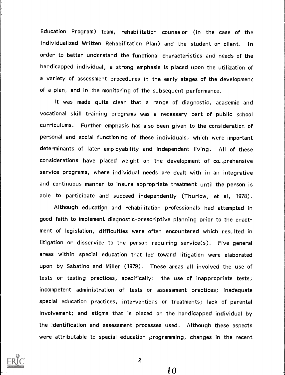Education Program) team, rehabilitation counselor (in the case of the Individualized Written Rehabilitation Plan) and the student or client. In order to better understand the functional characteristics and needs of the handicapped individual, a strong emphasis is placed upon the utilization of a variety of assessment procedures in the early stages of the development of a plan, and in the monitoring of the subsequent performance.

It was made quite clear that <sup>a</sup> range of diagnostic, academic and vocational skill training programs was a necessary part of public school curriculums. Further emphasis has also been given to the consideration of personal and social functioning of these individuals, which were important determinants of later employability and independent living. All of these considerations have placed weight on the development of co...prehensive service programs, where individual needs are dealt with in an integrative and continuous manner to insure appropriate treatment until the person is able to participate and succeed independently (Thurlow, et al, 1978).

Although education and rehabilitation professionals had attempted in good faith to implement diagnostic-prescriptive planning prior to the enactment of legislation, difficulties were often encountered which resulted in litigation or disservice to the person requiring service(s). Five general areas within special education that led toward litigation were elaborated upon by Sabatino and Miller (1979). Tnese areas all involved the use of tests or testing practices, specifically: the use of inappropriate tests; incompetent administration of tests or assessment practices; inadequate special education practices, interventions or treatments; lack of parental involvement; and stigma that is placed on the handicapped individual by the identification and assessment processes used. Although these aspects were attributable to special education programming, changes in the recent



2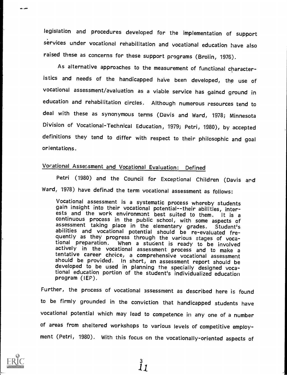legislation and procedures developed for the implementation of support services under vocational rehabilitation and vocational education have also raised these as concerns for these support programs (Brolin, 1976).

As alternative approaches to the measurement of functional characteristics and needs of the handicapped ha've been developed, the use of vocational assessment/evaluation as a viable service has gained ground in education and rehabilitation circles. Although numerous resources tend to deal with these as synonymous terms (Davis and Ward, 1978; Minnesota Division of Vocational-Technical Education, 1979; Petri, 1980), by accepted definitions they tend to differ with respect to their philosophic and goal orientations.

## Vocational Asse5sment and Vocational Evaluation: Defined

Petri (1980) and the Council for Exceptional Children (Davis and Ward, 1978) have defined the term vocational assessment as follows:

Vocational assessment is a systematic process whereby students<br>gain insight into their vocational potential--their abilities, inter-<br>ests and the work environment best suited to them. It is a<br>continuous process in the publ

Further, the process of vocational assessment as described here is found to be firmly grounded in the conviction that handicapped students have vocational potential which may lead to competence in any one of a number of areas from sheltered workshops to various levels of competitive employment (Petri, 1980). With this focus on the vocationally-oriented aspects of

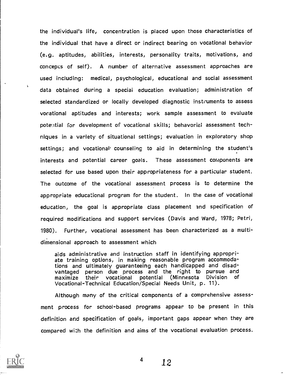the individual's life, concentration is placed upon those characteristics of the individual that have a direct or indirect bearing on vocational behavior (e.g. aptitudes, abilities, interests, personality traits, motivations, and concepts of self). A number of alternative assessment approaches are used including: medical, psychological, educational and social assessment data obtained during <sup>a</sup> speciai education evaluation; administration of selected standardized or locally developed diagnostic instruments to assess vocational aptitudes and interests; work sample assessment to evaluate potential for development of vocational skills; behavorial assessment techniques in a variety of situational settings; evaluation in exploratory shop settings; and vocational counseling to aid in determining the student's interests and potential career goals. These assessment components are selected for use based upon their appropriateness for a particular student. The outcome of the vocational assessment process is to determine the appropriate educational program for the student. In the case of vocational education, the goal is appropriate class placement and specification of required modifications and support services (Davis and Ward, 1978; Petri, 1980). Further, vocational assessment has been characterized as a multidimensional approach to assessment which

aids administrative and instruction staff in identifying appropri- ate training options, in making reasonable program accommodations and ultimately guaranteeing each handicapped and disadvantaged person due process and the right to pursue and maximize their vocational potential (Minnesota Division of Vocational-Technical Education/Special Needs Unit, p. 11).

Although many of the critical components of a comprehensive assessment process for school-based programs appear to be present in this definition and specification of goals; important gaps appear when they are compared with the definition and aims of the vocational evaluation process.



 $\ddot{\phantom{a}}$ 

 $4 \t 12$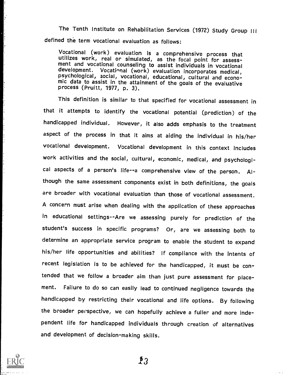The Tenth Institute on Rehabilitation Services (1972) Study Group III defined the term vocational evaluation as follows:

Vocational (work) evaluation is a comprehensive process that<br>utilizes work, real or simulated, as the focal point for assess-<br>ment and vocational counseling to assist individuals in vocational<br>development. Vocational (work

This definition is similar to that specified for vocational assessment in that it attempts to identify the vocational potential (prediction) of the handicapped individual. However, it also adds emphasis to the treatment aspect of the process in that it aims at aiding the individual in his/her vocational development. Vocational development in this context includes work activities and the social, cultural, economic, medical, and psychological aspects of a person's life--a comprehensive view of the person. Although the same assessment components exist in both definitions, the goals are broader with vocational evaluation than those of vocational assessment. A concern must arise when dealing with the application of these approaches in educational settings--Are we assessing purely for prediction of the student's success in specific programs? Or, are we assessing both to determine an appropriate service program to enable the student to expand his/her life opportunities and abilities? If compliance with the intents of recent legislation is to be achieved for the handicapped, it must be contended that we follow a broader aim than just pure assessment for placement. Failure to do so can easily lead to continued negligence towards the handicapped by restricting their vocational and life options. By following the broader perspective, we can hopefully achieve a fuller and more independent life for handicapped individuals through creation of alternatives and development of decision-making skills.



 $\bm{P}$ 3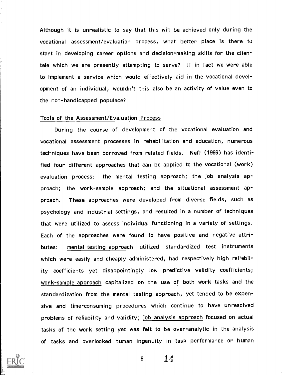Although it is unrealistic to say that this will be achieved only during the vocational assessment/evaluation process, what better place is there to start in developing career options and decision-making skills for the clientele which we are presently attempting to serve? If in fact we were able to implement a service which would effectively aid in the vocational development of an individual, wouldn't this also be an activity of value even to the non-handicapped populace?

#### Tools of the Assessment/Evaluation Process

During the course of development of the vocational evaluation and vocational assessment processes in rehabilitation and education, numerous techniques have been borrowed from related fields. Neff (1966) has identified four different approaches that can be applied to the vocational (work) evaluation process: the mental testing approach; the job analysis approach; the work-sample approach; and the situational assessment approach. These approaches were developed from diverse fields, such as psychology and industrial settings, and resulted in a number of techniques that were utilized to assess individual functioning in a variety of settings. Each of the approaches were found to have positive and negative attributes: mental testing approach utilized standardized test instruments which were easily and cheaply administered, had respectively high reliability coefficients yet disappointingly low predictive validity coefficients; work-sample approach capitalized on the use of both work tasks and the standardization from the mental testing approach, yet tended to be expensive and time-consuming procedures which continue to have unresolved problems of reliability and validity; job analysis approach focused on actual tasks of the work setting yet was felt to be over-analytic in the analysis of tasks and overlooked human ingenuity in task performance or human

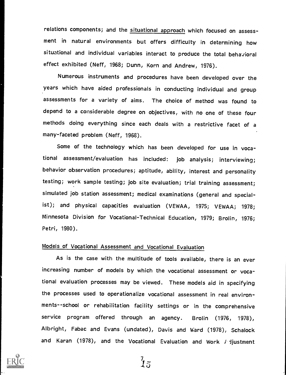relations components; and the situational approach which focused on assessment in natural environments but offers difficulty in determining how situational and individual variables interact to produce the total behavioral effect exhibited (Neff, 1968; Dunn, Korn and Andrew, 1976).

Numerous instruments and procedures have been developed over the years which have aided professionals in conducting individual and group assessments for a variety of aims. The choice of method was found to depend to a considerable degree on objectives, with no one of these four methods doing everything since each deals with a restrictive facet of a many-faceted problem (Neff, 1968).

Some of the technology which has been developed for use in vocational assessment/evaluation has included: job analysis; interviewing; behavior observation procedures; aptitude, ability, interest and personality testing; work sample testing; job site evaluation; trial training assessment; simulated job station assessment; medical examinations (general and specialist); and physical capacities evaluation (VEWAA, 1975; VEWAA; 1978; Minnesota Division for Vocational-Technical Education, 1979; Brolin, 1976; Petri, 1980).

#### Models of Vocational Assessment and Vocational Evaluation

As is the case with the multitude of tools available, there is an ever increasing number of models by which the vocational assessment or vocational evaluation processes may be viewed. These models aid in specifying the processes used to operationalize vocational assessment in real environments--school or rehabilitation facility settings or in the comprehensive service program offered through an agency. Brolin (1976, 1978), Albright, Fabac and Evans (undated), Davis and Ward (1978), Schalock and Karan (1978), and the Vocational Evaluation and Work  $\ell$  djustment



 $\frac{7}{15}$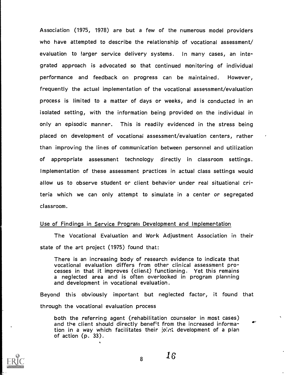Association (1975, 1978) are but a few of the numerous model providers who have attempted to describe the relationship of vocational assessment/ evaluation to larger service delivery systems. In many cases, an integrated approach is advocated so that continued monitoring of individual performance and feedback on progress can be maintained. However, frequently the actual implementation of the vocational assessment/evaluation process is limited to a matter of days or weeks, and is conducted in an isolated setting, with the information being provided on the individual in only an episodic manner. This is readily evidenced in the stress being placed on development of vocational assessment/evaluation centers, rather than improving the lines of communication between personnel and utilization of appropriate assessment technology directly in classroom settings. Implementation of these assessment practices in actual class settings would allow us to observe student or client behavior under real situational criteria which we can only attempt to simulate in a center or segregated classroom.

#### Use of Findings in Service Program Development and Implementation

The Vocational Evaluation and Work Adjustment Association in their state of the art project (1975) found that:

There is an increasing body of research evidence to indicate that vocational evaluation differs from other clinical assessment pro- cesses in that it improves (client) functioning. Yet this remains <sup>a</sup> neglected area and is often overlooked in program planning and development in vocational evaluation.

Beyond this obviously important but neglected factor, it found that through the vocational evaluation process

both the referring agent (rehabilitation counselor in most cases) and the client should directly benefit from the increased information in a way which facilitates their joint development of a plan of action (p. 33).



 $\frac{1}{8}$  16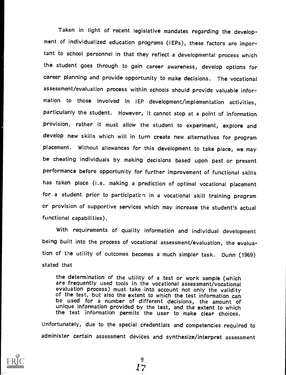Taken in light of recent legislative mandates regarding the development of individualized education programs (IEPs), these factors are important to school personnel in that they reflect a developmental process which the student goes through to gain career awareness, develop options for career planning and provide opportunity to make decisions. The vocational assessment/evaluation process within schools should provide valuable information to those involved in IEP development/implementation activities, particularly the student. However, it cannot stop at a point of information provision, rather it must allow the student to experiment, explore and develop new skills which will in turn create new alternatives for program placement. Without allowances for this development to take place, we may be cheating individuals by making decisions based upon past or present performance before opportunity for further improvement of functional skills has taken place (i.e. making a prediction of optimal vocational placement for a student prior to participaticn in a vocational skill training program or provision of supportive services which may increase the student's actual functional capabilities).

With requirements of quality information and individual development being built into the process of vocational assessment/evaluation, the evaluation of the utility of outcomes becomes a much simpler task. Dunn (1969) stated that

the determination of the utility of a test or work sample (which are frequently used tools in the vocational assessment/vocational evaluation process) must take into account not only the validity<br>of the test, but also the extent to which the test information can<br>be used for a number of different decisions, the amount of<br>unique information provided by the test information permits the user to make clear choices.

Unfortunately, due to the special credentials and competencies required to administer certain assessment devices and synthesize/interpret assessment



 $\overline{9}$ 17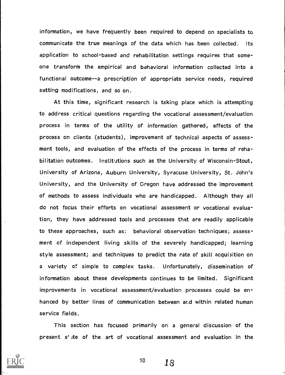information, we have frequently been required to depend on specialists to communicate the true meanings of the data which has been collected. Its application to school-based and rehabilitation settings requires that someone transform the empirical and behavioral information collected into <sup>a</sup> functional outcome--a prescription of appropriate service needs, required setting modifications, and so on.

At this time, significant research is taking place which is attempting to address critical questions regarding the vocational assessment/evaluation process in terms of the utility of information gathered, effects of the process on clients (students), improvement of technical aspects of assessment tools, and evaluation of the effects of the process in terms of rehabilitation outcomes. Institutions such as the University of Wisconsin-Stout, University of Arizona, Auburn University, Syracuse University, St. John's University, and the University of Oregon have addressed the improvement of methods to assess individuals who are handicapped. Although they all do not focus their efforts on vocational assessment or vocational evaluation, they have addressed tools and processes that are readily applicable to these approaches, such as: behavioral observation techniques; assessment of independent living skills of the severely handicapped; learning style assessment; and techniques to predict the rate of skill acquisition on <sup>a</sup> variety of simple to complex tasks. Unfortunately, dissemination of information about these developments continues to be limited. Significant improvements in vocational assessment/evaluation processes could be enhanced by better lines of communication between ar,d within related human service fields.

This section has focused primarily on <sup>a</sup> general discussion of the present s\* Ite of the art of vocational assessment and evaluation in the



 $10 \t 18$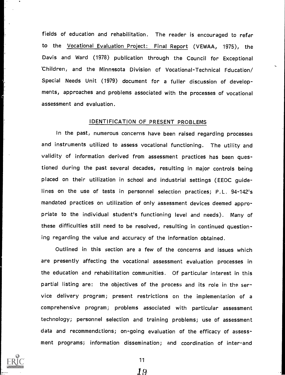fields of education and rehabilitation. The reader is encouraged to refer to the Vocational Evaluation Project: Final Report (VEWAA, 1975), the Davis and Ward (1978) publication through the Council for Exceptional Children, and the Minnesota Division of Vocational-Technical Fducation/ Special Needs Unit (1979) document for a fuller discussion of developments, approaches and problems associated with the processes of vocational assessment and evaluation.

#### IDENTIFICATION OF PRESENT PROBLEMS

In the past, numerous concerns have been raised regarding processes and instruments utilized to assess vocational functioning. The utility and validity of information derived from assessment practices has been questioned during the past several decades, resulting in major controls being placed on their utilization in school and industrial settings (EEOC guidelines on the use of tests in personnel selection practices; P.L. 94-142's mandated practices on utilization of only assessment devices deemed appropriate to the individual student's functioning level and needs). Many of these difficulties still need to be resolved, resulting in continued questioning regarding the value and accuracy of the information obtained.

Outlined in this section are a few of the concerns and issues which are presently affecting the vocational assessment evaluation processes in the education and rehabilitation communities. Of particular interest in this partial listing are: the objectives of the process and its role in the service delivery program; present restrictions on the implementation of a comprehensive program; problems associated with particular assessment technology; personnel selection and training problems; use of assessment data and recommendations; on-going evaluation of the efficacy of assessment programs; information dissemination; and coordination of inter-and



<u>19</u>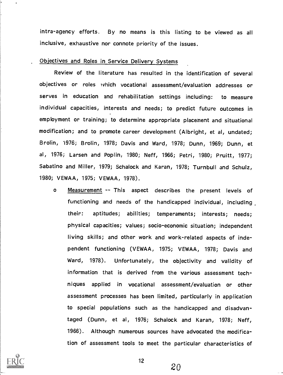intra-agency efforts. By no means is this listing to be viewed as all inclusive, exhaustive nor connote priority of the issues.

#### Objectives and Roles in Service Delivery Systems

Review of the literature has resulted in the identification of several objectives or roles which vocational assessment/evaluation addresses or serves in education and rehabilitation settings including: to measure individual capacities, interests and needs; to predict future outcomes in employment or training; to determine appropriate placement and situational modification; and to promote career development (Albright, et al, undated; Brolin, 1976; Brolin, 1978; Davis and Ward, 1978; Dunn, 1969; Dunn, et al, 1976; Larsen and Poplin, 1980; Neff, 1966; Petri, 1980; Pruitt, 1977; Sabatino and Miller, 1979; Schalock and Karan, 1978; Turnbull and Schulz, 1980; VEWAA, 1975; VEWAA, 1978).

o Measurement -- This aspect describes the present levels of functioning and needs of the handicapped individual, including their: aptitudes; abilities; temperaments; interests; needs; physical capacities; values; socio-economic situation; independent living skills; and other work and work-related aspects of independent functioning (VEWAA, 1975; VEWAA, 1978; Davis and Ward, 1978). Unfortunately, the objectivity and validity of information that is derived from the various assessment techniques applied in vocational assessment/evaluation or other assessment processes has been limited, particularly in application to special populations such as the handicapped and disadvantaged (Dunn, et al, 1976; Schalock and Karan, 1978; Neff, 1966). Although numerous sources have advocated the modification of assessment tools to meet the particular characteristics of



12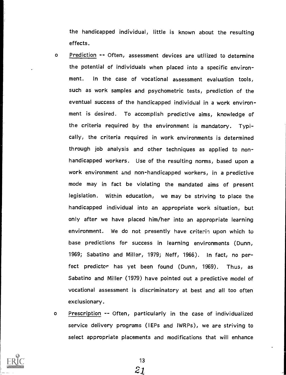the handicapped individual, little is known about the resulting effects.

- o Prediction -- Often, assessment devices are utilized to determine the potential of individuals when placed into a specific environment. In the case of vocational assessment evaluation tools, such as work samples and psychometric tests, prediction of the eventual success of the handicapped individual in a work environment is desired. To accomplish predictive aims, knowledge of the criteria required by the environment is mandatory. Typically, the criteria required in work environments is determined through job analysis and other techniques as applied to nonhandicapped workers. Use of the resulting norms, based upon a work environment and non-handicapped workers, in a predictive mode may in fact be violating the mandated aims of present legislation. Within education, we may be striving to place the handicapped individual into an appropriate work situation, but only after we have placed him/her into an appropriate learning environment. We do not presently have criteria upon which to base predictions for success in learning environments (Dunn, 1969; Sabatino and Miller, 1979; Neff, 1966). In fact, no perfect predictor has yet been found (Dunn, 1969). Thus, as Sabatino and Miller (1979) have pointed out a predictive model of vocational assessment is discriminatory at best and all too often exclusionary.
- <sup>o</sup> Prescription -- Often, particularly in the case of individualized service delivery programs (IEPs and IWRPs), we are striving to select appropriate placements and modifications that will enhance



13

 $\mathcal{Z}1$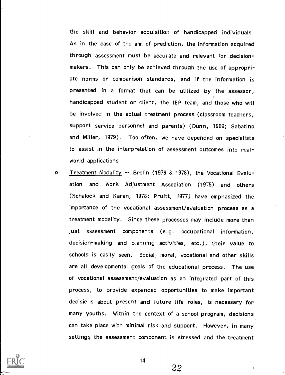the skill and behavior acquisition of handicapped individuals. As in the case of the aim of prediction, the information acquired through assessment must be accurate and relevant for decisionmakers. This can only be achieved through the use of appropriate norms or comparison standards, and if the information is presented in <sup>a</sup> format that can be utilized by the assessor, handicapped student or client, the IEP team; and those who will be involved in the actual treatment process (classroom teachers, support service personnel and parents) (Dunn, 1969; Sabatino and Miller, 1979). Too often, we have depended on specialists to assist in the interpretation of assessment outcomes into realworld applications.

o Treatment Modality -- Brolin (1976 & 1978), the Vocational Evaluation and Work Adjustment Association (1975) and others (Schalock and Karan, 1978; Pruitt, '1977) have emphasized the importance of the vocational assessment/evaluation process as a treatment modality. Since these processes may include more than just assessment components (e.g. occupational information, decision-making and planning activities, etc.), their value to schools is easily seen. Social, moral, vocational and other skills are all developmental goals of the educational process. The use of vocational assessment/evaluation as an integrated part of this process, to provide expanded opportunities to make important decisic is about present and future life roles, is necessary for many youths. Within the context of a school program, decisions can take place with minimal risk and support. However, in many settings the assessment component is stressed and the treatment



14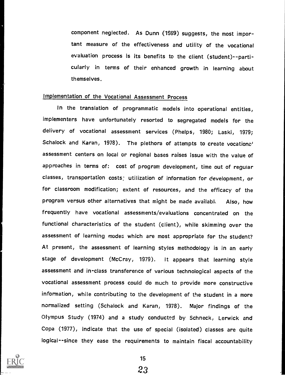component neglected. As Dunn (1969) suggests, the most important measure of the effectiveness and utility of the vocational evaluation process is its benefits to the client (student)--particularly in terms of their enhanced growth in learning about themselves.

### Implementation of the Vocational Assessment Process

In the translation of programmatic models into operational entities, implementers have unfortunately resorted to segregated models for the delivery of vocational assessment services (Phelps, 1980; Laski, 1979; Schalock and Karan, 1978). The plethora of attempts to create vocationa' assessment centers on local or regional bases raises issue with the value of approaches in terms of: cost of program development, time out of regular classes, transportation costs: utilization of information for development, or for classroom modification; extent of resources, and the efficacy of the program versus other alternatives that might be made availably Also, how frequently have vocational assessments/evaluations concentrated on the functional characteristics of the student (client), while skimming over the assessment of learning modes which are most appropriate for the student? At present, the assessment of learning styles methodology is in an early stage of development (McCray, 1979). It appears that learning style assessment and in-class transference of various technological aspects of the vocational assessment process could do much to provide more constructive information, while contributing to the development of the student in a more normalized setting (Schalock and Karan, 1978). Major findings of the Olympus Study (1974) and a study conducted by Schneck, Lerwick and Cope (1977), indicate that the use of special (isolated) classes are quite logical--since they ease the requirements to maintain fiscal accountability



15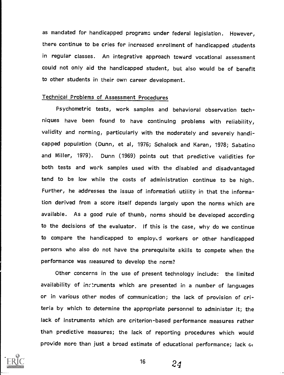as mandated for handicapped programs under federal legislation. However, there continue to be cries for increased enrollment of handicapped students in regular classes. An integrative approach toward vocational assessment could not only aid the handicapped student, but also would be of benefit to other students in their own career development.

#### Technicai Problems of Assessment Procedures

Psychometric tests, work samples and behavioral observation techniques have been found to have continuing problems with reliability, validity and norming, particularly with the moderately and severely handicapped population (Dunn, et al, 1976; Schalock and Karan, 1978; Sabatino and Miller, 1979). Dunn (1969) points out that predictive validities for both tests and work samples used with the disabled and disadvantaged tend to be low while the costs of administration continue to be high. Further, he addresses the issue of information utility in that the information derived from a score itself depends largely upon the norms which are available. As a good rule of thumb, norms should be developed according to the decisions of the evaluator. If this is the case, why do we continue to compare the handicapped to employed workers or other handicapped persons who also do not have the prerequisite skills to compete when the performance was measured to develop the norm?

Other concerns in the use of present technology include: the limited availability of inctruments which are presented in a number of languages or in various other modes of communication; the lack of provision of criteria by which to determine the appropriate personnel to administer it; the lack of instruments which are criterion-based performance measures rather than predictive measures; the lack of reporting procedures which would provide more than just a broad estimate of educational performance; lack GI

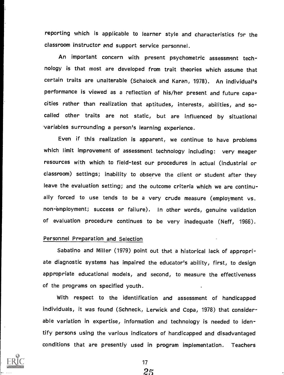reporting which is applicable to learner style and characteristics for the classroom instructor and support service personnel.

An important concern with present psychometric assessment technology is that most are developed from trait theories which assume that certain traits are unalterable (Schalock and Karen, 1978). An individual's performance is viewed as a reflection of his/her present and future capacities rather than realization that aptitudes, interests, abilities, and socalled other traits are not static, but are influenced by situational variables surrounding a person's learning experience.

Even if this realization is apparent, we continue to have problems which limit improvement of assessment technology including: very meager resources with which to field-test our procedures in actual (industrial or classroom) settings; inability to observe the client or student after they leave the evaluation setting; and the outcome criteria which we are continually forced to use tends to be a very crude measure (employment vs. non-employment; success or failure). In other words, genuine validation of evaluation procedure continues to be very inadequate (Neff, 1966).

#### Personnel Preparation and Selection

Sabatino and Miller (1979) point out that a historical lack of appropriate diagnostic systems has impaired the educator's ability, first, to design appropriate educational models, and second, to measure the effectiveness of the programs on specified youth.

With respect to the identification and assessment of handicapped individuals, it was found (Schneck, Lerwick and Copa, 1978) that considerable variation in expertise, information and technology is needed to identify persons using the various indicators of handicapped and disadvantaged conditions that are presently used in program implementation. Teachers

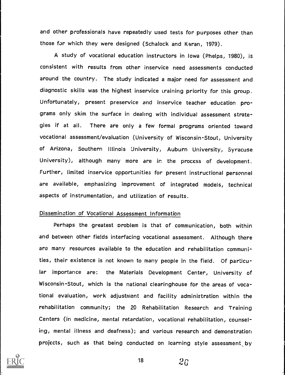and other professionals have repeatedly used tests for purposes other than those for which they were designed (Schalock and Karan, 1979).

A study of vocational education instructors in Iowa (Phelps, 1980), is consistent with results from other inservice need assessments conducted around the country. The study indicated a major need for assessment and diagnostic skills was the highest inservice training priority for this group. Unfortunately, present preservice and inservice teacher education programs only skim the surface in dealing with individual assessment strategies if at all. There are only a few formal programs oriented toward vocational assessment/evaluation (University of Wisconsin-Stout, University of Arizona, Southern Illinois University, Auburn University, Syracuse University), although many more are in the process of development. Further, limited inservice opportunities for present instructional personnel are available, emphasizing improvement of integrated models, technical aspects of instrumentation, and utilization of results.

#### Dissemination of Vocational Assessment Information

Perhaps the greatest oroblem is that of communication, both within and between other fields interfacing vocational assessment. Although there are many resources available to the education and rehabilitation communities, their existence is not known to many people in the field. Of particular importance are: the Materials Development Center, University of Wisconsin-Stout, which is the national clearinghouse for the areas of vocational evaluation, work adjustment and facility administration within the rehabilitation community; the 20 Rehabilitation Research and Training Centers (in medicine, mental retardation, vocational rehabilitation, counseling, mental illness and deafness); and various research and demonstration projects, such as that being conducted on learning style assessment by



 $18 \t 26$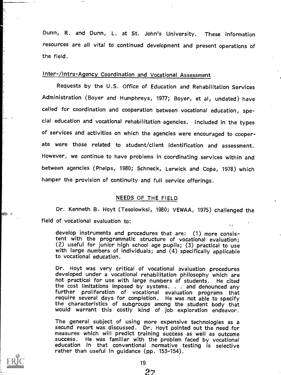Dunn, R. and Dunn, L. at St. John's University. These information resources are all vital to continued development and present operations of the field.

## Inter- /Intra- Agency Coordination and Vocational Assessment

Requests by the U.S. Office of Education and Rehabilitation Services Administration (Boyer and Humphreys, 1977; Boyer, et al, undated) have called for coordination and cooperation between vocational education, special education and vocational rehabilitation agencies. Included in the types of services and activities on which the agencies were encouraged to cooperate were those related to student/client identification and assessment. However, we continue to have problems in coordinating services within and between agencies (Phelps, 1980; Schneck, Lerwick and Copa, 1978) which hamper the provision of continuity and full service offerings.

#### NEEDS OF THE FIELD

Dr. Kenneth B. Hoyt (Tesolowksi, 1980; VEWAA, 1975) challenged the field of vocational evaluation to:

develop instruments and procedures that are: (1) more consistent with the programmatic structure of vocational evaluation; (2) useful for junior high school age pupils; (3) practical to use with large numbers of individuals; and (4) specifically applicable to vocational education.

Dr. Hoyt was very critical of vocational evaluation procedures developed under a vocational rehabilitation philosophy which are not practical for use with large numbers of students. He cited<br>the cost limitations imposed by systems. . . and denounced any further proliferation of vocational evaluation programs that require several days for completion. He was not able to specify<br>the characteristics of subgroups among the student body that would warrant this costly kind of job exploration endeavor.

The general subject of using more expensive technologies as a second resort was discussed. Dr. Hoyt pointed out the need for measures which will predict training success as well as outcome success. He was familiar with the problem faced by vocational education in that conventional normative testing is selective rather than useful in guidance (pp. 153-154).



Is r

2'Y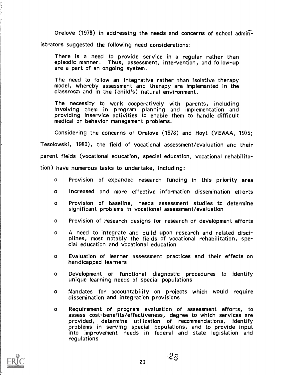Orelove (1978) in addressing the needs and concerns of school administrators suggested the following need considerations:

There is a need to provide service in a regular rather than episodic manner. Thus, assessment, intervention, and follow-up are a part of an ongoing system.

The need to follow an integrative rather than isolative therapy model, whereby assessment and therapy are implemented in the classroom and in the (child's) natural environment.

The necessity to work cooperatively with parents, including involving them in program planning and implementation and providing inservice activities to enable them to handle difficult medical or behavior management problems.

Considering the concerns of Orelove (1978) and Hoyt (VEWAA, 1975;

Tesolowski, 1980), the field of vocational assessment/evaluation and their

parent fields (vocational education, special education, vocational rehabilita-

tion) have numerous tasks to undertake, including:

- <sup>o</sup> Provision of expanded research funding in this priority area
- o Increased and more effective information dissemination efforts
- o Provision of baseline, needs assessment studies to determine significant problems in vocational assessment/evaluation
- o Provision of research designs for research or development efforts
- <sup>o</sup> A need to integrate and build upon research and related disci- plines, most notably the fields of vocational rehabilitation, special education and vocational education
- o Evaluation of learner assessment practices and their effects on handicapped learners
- <sup>o</sup> Development of functional diagnostic procedures to identify unique learning needs of special populations
- o Mandates for accountability on projects which would require dissemination and integration provisions
- o Requirement of program evaluation of assessment efforts, to assess cost-benefits/effectiveness, degree to which services are provided, determine utilization of recommendations, identify problems in serving special populations, and to provide input into improvement needs in federal and state legislation and regulations

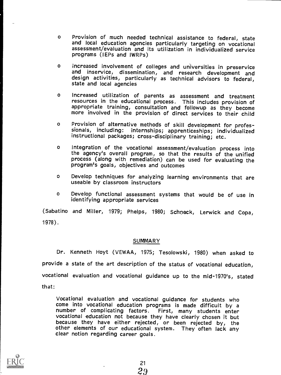- <sup>o</sup> Provision of much needed technical assistance to federal, state and local education agencies particularly targeting on vocational assessment/evaluation and its utilization in individualized service programs (IEPs and IWRPs)
- o increased involvement of colleges and universities in preservice and inservice, dissemination, and research development and design activities, particularly as technical advisors to federal, state and local agencies
- <sup>o</sup> Increased utilization of parents as assessment and treatment resources in the educational process. This includes provision of appropriate training, consultation and followup as they become more involved in the provision of direct services to their child
- <sup>o</sup> Provision of alternative methods of skill development for profes- sionals, including: internships; apprenticeships; individualized instructional packages; cross-disciplinary training; etc.
- <sup>o</sup> Integration of the vocational assessment/evaluation process into the agency's overall program, so that the results of the unified process (along with remediation) can be used for evaluating the program's goals, objectives and outcomes
- <sup>o</sup> Develop techniques for analyzing learning environments that are useable by classroom instructors
- <sup>o</sup> Develop functional assessment systems that would be of use in identifying appropriate services

(Sabatino and Miller, 1979; Phelps, 1980; Schneck, Lerwick and Copa, 1978).

#### SUMMARY

Dr. Kenneth Hoyt (VEWAA, 1975; Tesolowski, 1980) when asked to provide a state of the art description of the status of vocational education, vocational evaluation and vocational guidance up to the mid-1970's, stated that:

Vocational evaluation and vocational guidance for students who come into vocational education programs is made difficult by a number of complicating factors. First, many students enter vocational education not because they have clearly chosen it but because they have either rejected, or been rejected by, the other elements of our educational system. They often lack any clear notion regarding career goals.

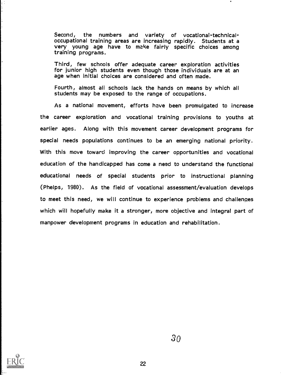Second, the numbers and variety of vocational-technicaloccupational training areas are increasing rapidly. Students at a very young age have to make fairly specific choices among training programs.

Third, few schools offer adequate career exploration activities for junior high students even though those individuals are at an age when initial choices are considered and often made.

Fourth, almost all schools lack the hands on means by which all students may be exposed to the range of occupations.

As a national movement, efforts have been promulgated to increase the career exploration and vocational training provisions to youths at earlier ages. Along with this movement career development programs for special needs populations continues to be an emerging national priority. With this move toward improving the career opportunities and vocational education of the handicapped has come a need to understand the functional educational needs of special students prior to instructional planning (Phelps, 1980). As the field of vocational assessment/evaluation develops to meet this need, we will continue to experience problems and challenges which will hopefully make it a stronger, more objective and integral part of manpower development programs in education and rehabilitation.

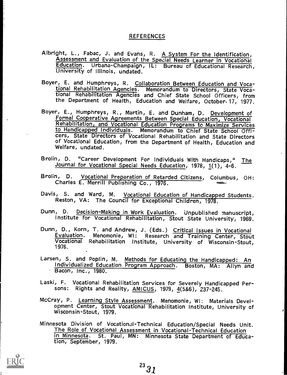#### REFERENCES

- Albright, L., Fabac, J. and Evans, R. A System For the Identification,<br>Assessment and Evaluation of the Special Needs Learner in Vocational<br>Education. Urbana-Champaign, IL: Bureau of Educational Research,<br>University of Ill
- Boyer, E. and Humphreys, R. Collaboration Between Education and Vocational Rehabilitation Agencies. Memorandum to Directors, State Vocational Rehabilitation Agencies and Chief State School Officers, from the Department of Health, Education and Welfare, October. 17, 1977.
- Boyer, E., Humphreys, R., Martin, E. and Dunham, D. Development of Formal Cooperative Agreements Between Special Education, Vocational Rehabilitation, and Vocational Education Programs to Maximize Services to Handicapped Individuals. Memorandum to Chief State School Officers, State Directors of Vocational Rehabilitation and State Directors of Vocational Education, from the Department of Health, Education and Welfare, undated.
- Brolin, D. "Career Development For Individuals With Handicaps," The Journal for Vocational Special Needs Education, 1978, 1(1), 4-6.
- Brolin, D. Vocational Preparation of Retarded Citizens, Columbus, OH: Charles E. Merrill Publishing Co., 1976.
- Davis, S. and Ward, M. Vocational Education of Handicapped Students. Reston, VA: The Council for Exceptional Children, 1978.
- Dunn, D. Decision-Making in Work Evaluation. Unpublished manuscript,<br>Institute for Vocational Rehabilitation, Stout State University, 1969.
- Dunn, D., Korn, T. and Andrew, J. (Eds.) Critical Issues in Vocational<br>Evaluation. Menomonie, WI: Research and Training Center, Stout Vocational Rehabilitation Institute, University of Wisconsin-Stout, 1976.
- Larsen, S. and Poplin, M. Methods for Educating the Handicapped: An Individualized Education Program Approach. Boston, MA: Allyn and
- Laski, F. Vocational Rehabilitation Services for Severely Handicapped Persons: Rights and Reality, AMICUS, 1979, 4(5&6), 237-245.
- McCray, P. Learning Style Assessment. Menomonie, WI: Materials Development Center, Stout Vocational Rehabilitation Institute, University of Wisconsin-Stout, 1979.
- Minnesota Division of Vocational-Technical Education/Special Needs Unit.<br>The Role of Vocational Assessment in Vocational-Technical Education<br>in Minnesota. St. Paul, MN: Minnesota State Department of Educa-St. Paul, MN: Minnesota State Department of Education, September, 1979.

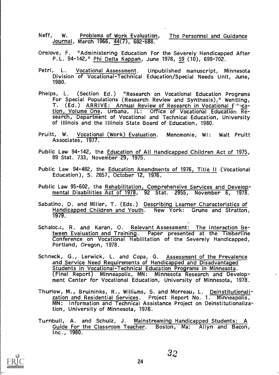- Neff, W. Problems of Work Evaluation, The Personnel and Guidance Journal, March 1966, 44(7), 682-688.
- Orelove, F. "Administering Education For the Severely Handicapped After<br>P.L. 94-142," Phi Delta Kappan, June 1978, 59 (10), 699-702.
- Petri, L. Vocational Assessment. Unpublished manuscript, Minnesota Division of Vocational-Technical Education/Special Needs Unit, June, 1980.
- Phelps, L. (Section Ed.) "Research on Vocational Education Programs<br>For Special Populations (Research Review and Synthesis)," Wentling,<br>T. (Ed.) ARRIVE: Annual Review of Research in Vocational F<sup>31</sup>.1cation, Volume One, Urbana, IL: Office of Vocational Education Research, Department of Vocational and Technical Education, University of Illinois and the Illinois State Board of Education, 1980.
- Pruitt, W. Vocational (Work) Evaluation. Menomonie, WI: Walt Pruitt Associates, 1977.
- Public Law 94-142, the Education of All Handicapped Children Act of 1975, 89 Stat. 733, November 29, 1975.
- Public Law 94-482, the Education Amendments of 1976, Titie II (Vocational Education), S. 2657, October 12, 1976.
- Public Law 95-602, the Rehabilitation, Comprehensive Services and Developmental Disabilities Act of 1978, 92 Stat. 2955, November 6, 1978.
- Sabatino, D. and Miller, T. (Eds.) Describing Learner Characteristics of Handicapped Children and Youth. New York: Grune and Stratton, 1979.
- Schaloc.:, R. and Karan, O. Relevant Assessment: The Interaction Between Evaluation and Training. Paper presented at the Timberline Conference on Vocational Habilitation of the Severely Handicapped, Portland, Oregon, 1978.
- Schneck, G., Lerwick, L. and Copa, G. Assessment of the Prevalence and Service Need Requirements of Handicapped and Disadvantaged Students in Vocational-Technical Education Programs in Minnesota. (Final Report) Minneapolis, MN: Minnesota Research and Develop- ment Center for Vocational Education, University of Minnesota, 1978.
- Thurlow, M., Bruininks, R., Williams, S. and Morreau, L. Deinstitutionalization and Residential Services. Project Report No. 1. Minneapolis, MN: Information and Technical Assistance Project on Deinstitutionalization, University of Minnesota, 1978.
- Turnbull, A. and Schulz, J. Mainstreaming Handicapped Students: A Guide For the Classroom Teacher. Boston, Ma: Allyn and Bacon, Inc., 1980.

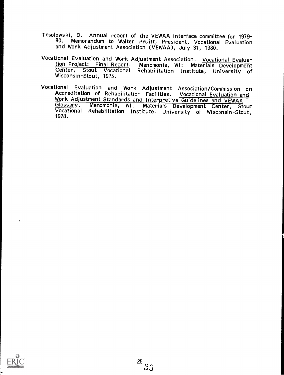- Tesolowski, D. Annual report of the VEWAA interface committee for 1979- Memorandum to Walter Pruitt, President, Vocational Evaluation and Work Adjustment Association (VEWAA), July 31, 1980.
- Vocational Evaluation and Work Adjustment Association. Vocational Evalua- tion Project: Final Report. Menomonie, WI: Materia s Dave opment Center, Stout Vocational Rehabilitation Institute, University of Wisconsin-Stout, 1975.
- Vocational Evaluation and Work Adjustment Association/Commission on Accreditation of Rehabilitation Facilities. Vocational Evaluation and Glossary. Menomonie, WI: Materials Development Center, Stout<br>Vocational Rehabilitation Institute, University of Wisconsin-Stout, 1978.

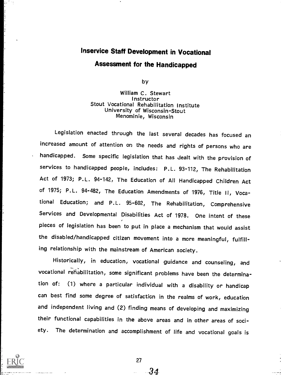# lnservice Staff Development in Vocational Assessment for the Handicapped

by

William C. Stewart **Instructor** Stout Vocational Rehabilitation Institute University of Wisconsin-Stout Menominie, Wisconsin

Legislation enacted through the last several decades has focused an increased amount of attention on the needs and rights of persons who are handicapped. Some specific legislation that has dealt with the provision of services to handicapped people, includes: P.L. 93-112, The Rehabilitation Act of 1973; P.L. 94-142, The Education of All Handicapped Children Act of 1975; P.L. 94-482, The Education Amendments of 1976, Title II, Vocational Education; and P.L. 95-602, The Rehabilitation, Comprehensive Services and Developmental Disabilities Act of 1978. One intent of these pieces of legislation has been to put in place a mechanism that would assist the disabled/handicapped citizen movement into a more meaningful, fulfilling relationship with the mainstream of American society.

Historically, in education, vocational guidance and counseling, and vocational rehabilitation, some significant problems have been the determination of: (1) where a particular individual with a disability or handicap can best find some degree of satisfacticn in the realms of work, education and independent living and (2) finding means of developing and maximizing their functional capabilities in the above areas and in other areas of society. The determination and accomplishment of life and vocational goals is



27

.34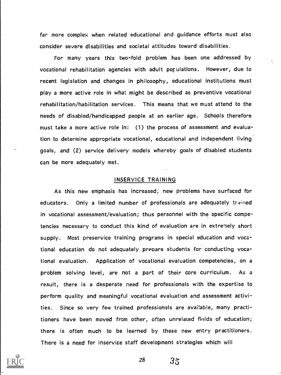far more complex when related educational and guidance efforts must also consider severe disabilities and societal attitudes toward disabilities.

For many years this two-fold problem has been one addressed by vocational rehabilitation agencies with adult por ulations. However, due to recent legislation and changes in philosophy, educational institutions must play a more active role in what might be described as preventive vocational rehabilitation/habilitation services. This means that we must attend to the needs of disabled/handicapped people at an earlier age. Schools therefore must take a more active role in: (1) the process of assessment and evaluation to determine appropriate vocational, educational and independent living goals, and (2) service delivery models whereby goals of disabled students can be more adequately met.

#### INSERVICE TRAINING

As this new emphasis has increased, new problems have surfaced for educators. Only a limited number of professionals are adequately trained in vocational assessment/evaluation; thus personnel with the specific competencies necessary to conduct this kind of evaluation are in extremely short supply. Most preservice training programs in special education and vocational education do not adequately prepare students for conducting vocational evaluation. Application of vocational evaluation competencies, on a problem solving level, are not a part of their core curriculum. As a result, there is a desperate need for professionals with the expertise to perform quality and meaningful vocational evaluation and assessment activities. Since so very few trained professionals are available, many practitioners have been moved from other, often unrelated fields of education; there is often much to be learned by these new entry practitioners. There is a need for inservice staff development strategies which will



28

 $35 \,$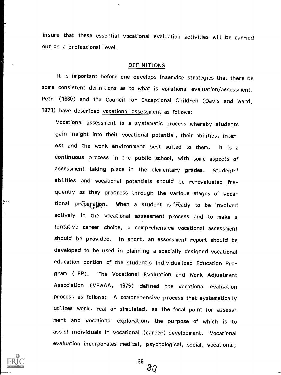insure that these essential vocational evaluation activities will be carried out on a professional level.

#### DEFINITIONS

It is important before one develops inservice strategies that there be some consistent definitions as to what is vocational evaluation/assessment. Petri (1980) and the Council for Exceptional Children (Davis and Ward, 1978) have described vocational assessment as follows:

Vocational assessment is a systematic process whereby students gain insight into their vocational potential, their abilities, interest and the work environment best suited to them. It is <sup>a</sup> continuous process in the public school, with some aspects of assessment taking place in the elementary grades. Students' abilities and vocational potentials should be re-evaluated frequently as they progress through the various stages of vocational preparation. When a student is feady to be involved actively in the vocational assessment process and to make <sup>a</sup> tentative career choice, a comprehensive vocational assessment should be provided. In short, an assessment report should be developed to be used in planning a specially designed vocational education portion of the student's Individualized Education Program (IEP). The Vocational Evaluation and Work Adjustment Association (VEWAA, 1975) defined the vocational evaluation process as follows: A comprehensive process that systematically utilizes work, real or simulated, as the focal point for assessment and vocational exploration, the purpose of which is to assist individuals in vocational (career) development. Vocational evaluation incorporates medical, psychological, social, vocational,



29  $36 \,$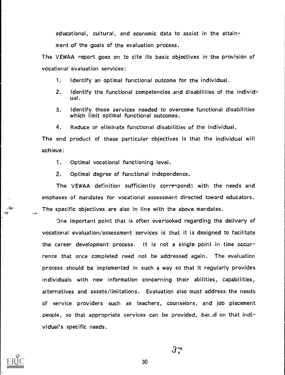educational, cultural, and economic data to assist in the attain-

ment of the goals of the evaluation process.

The VEWAA report goes on to cite its basic objectives in the provision of vocational evaluation services:

- 1. Identify an optimal functional outcome for the individual.
- 2. Identify the functional competencies and disabilities of the individual.
- 3. Identify those services needed to overcome functional disabilities which limit optimal functional outcomes.
- 4. Reduce or eliminate functional disabilities of the individual.

The end product of these particular objectives is that the individual will achieve:

- 1. Optimal vocational functioning level.
- 2. Optimal degree of functional independence.

The VEWAA definition sufficiently correspond: with the needs and emphases of mandates for vocational assessment directed toward educators. The specific objectives are also in line with the above mandates.

One important point that is often overlooked regarding the delivery of vocational evaluation/assessment services is that it is designed to facilitate the career development process. It is not a single point in time occurrence that once completed need not be addressed again. The evaluation process should be implemented in such a way so that it regularly provides individuals with new information concerning their abilities, capabilities, alternatives and assets/limitations. Evaluation also must address the needs of service providers such as teachers, counselors, and job placement people, so that appropriate services can be provided, based on that individual's specific needs.



موهيتين ×.

30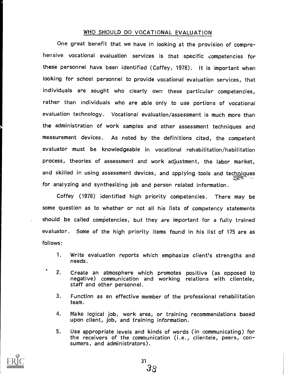#### WHO SHOULD DO VOCATIONAL EVALUATION

One great benefit that we have in looking at the provision of comprehensive vocational evaluation services is that specific competencies for these personnel have been identified (Coffey, 1978). It is important when looking for school personnel to provide vocational evaluation services, that individuals are sought who clearly own these particular competencies, rather than individuals who are able only to use portions of vocational evaluation technology. Vocational evaluation/assessment is much more than the administration of work samples and other assessment techniques and measurement devices. As noted by the definitions cited, the competent evaluator must be knowledgeable in vocational rehabilitation/habilitation process, theories of assessment and work adjustment, the labor market, and skilled in using assessment devices, and applying tools and techaiques for analyzing and synthesizing job and person related information.

Coffey (1978) identified high priority competencies. There may be some question as to whether or not all his lists of competency statements should be called competencies, but they are important for a fully trained evaluator. Some of the high priority items found in his list of 175 are as follows:

- 1. Write evaluation reports which emphasize client's strengths and needs.
- 2. Create an atmosphere which promotes positive (as opposed to negative) communication and working relations with clientele, staff and other personnel.
- 3. Function as an effective member of the professional rehabilitation team.
- 4. Make logical job, work area, or training recommendations based upon client, job, and training information.
- 5. Use appropriate levels and kinds of words (in communicating) for the receivers of the communication (i.e., clientele, peers, con- sumers, and administrators).

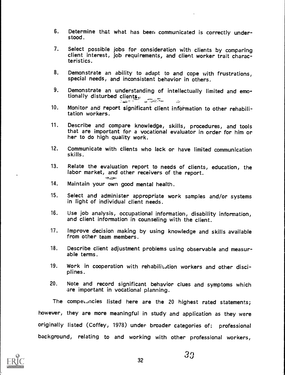- 6. Determine that what has beer, communicated is correctly under- stood.
- 7. Select possible jobs for consideration with clients by comparing client interest, job requirements, and client worker trait characteristics.
- 8. Demonstrate an ability to adapt to and cope with frustrations, special needs, and inconsistent behavior in others.
- 9. Demonstrate an understanding of intellectually limited and emo- tionally disturbed clients,-
- 10. Monitor and report significant client information to other rehabilitation workers.
- 11. Describe and compare knowledge, skills, procedures, and tools that are important for a vocational evaluator in order for him or her to do high quality work.
- 12. Communicate with clients who lack or have limited communication skills.
- 13. Relate the evaluation report to needs of clients, education, the labor market, and other receivers of the report.
- 14. Maintain your own good mental health.
- 15. Select and administer appropriate work samples and/or systems in light of individual client needs.
- 16. Use job analysis, occupational information, disability information, and client information in counseling with the client.
- 17. Improve decision making by using knowledge and skills available from other team members.
- 18. Describe client adjustment problems using observable and measurable terms.
- 19. Work in cooperation with rehabilitation workers and other disci-<br>plines.
- 20. Note and record significant behavior clues and symptoms which are important in vocational planning.

The competencies listed here are the 20 highest rated statements; however, they are more meaningful in study and application as they were originally listed (Coffey, 1978) under broader categories of: professional background, relating to and working with other professional workers,

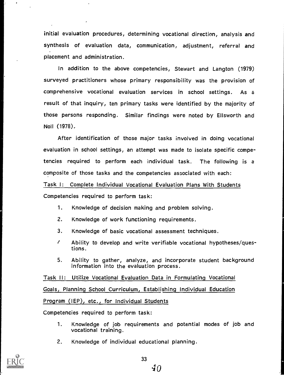initial evaluation procedures, determining vocational direction, analysis and synthesis of evaluation data, communication, adjustment, referral and placement and administration.

In addition to the above competencies, Stewart and Langton (1979) surveyed practitioners whose primary responsibility was the provision of comprehensive vocational evaluation services in school settings. As a result of that inquiry, ten primary tasks were identified by the majority of those persons responding. Similar findings were noted by Ellsworth and Noll (1978).

After identification of those major tasks involved in doing vocational evaluation in school settings, an attempt was made to isolate specific competencies required to perform each individual task. The following is <sup>a</sup> composite of those tasks and the competencies associated with each:

Task I: Complete Individual Vocational Evaluation Plans With Students

Competencies required to perform task:

- 1. Knowledge of decision making and problem solving.
- 2. Knowledge of work functioning requirements.
- 3. Knowledge of basic vocational assessment techniques.
- t Ability to develop and write verifiable vocational hypotheses/questions.
- S. Ability to gather, analyze, and incorporate student background information into the evaluation process.

Task II: Utilize Vocational Evaluation Data in Formulating Vocational Goals, Planning School Curriculum, Establishing Individual Education Program (IEP), etc., for Individual Students

Competencies required to perform task:

- 1. Knowledge of job requirements and potential modes of job and vocational training.
- 2. Knowledge of individual educational planning.



40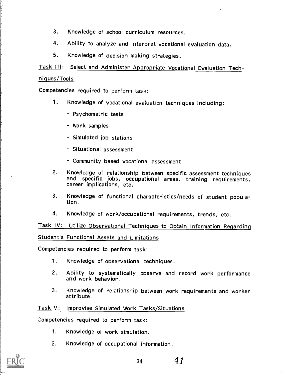- 3. Knowledge of school curriculum resources.
- 4. Ability to analyze and interpret vocational evaluation data.
- 5. Knowledge of decision making strategies.

Task III: Select and Administer Appropriate Vocational Evaluation Tech-

#### niques/Tools

Competencies required to perform task:

- 1. Knowledge of vocational evaluation techniques including:
	- Psychometric tests
	- Work samples
	- Simulated job stations
	- Situational assessment
	- Community based vocational assessment
- 2. Knowledge of relationship between specific assessment techniques and specific jobs, occupational areas, training requirements, career implications, etc.
- 3. Knowledge of functional characteristics/needs of student population.
- 4. Knowledge of work/occupational requirements, trends, etc.

Task IV: Utilize Observational Techniques to Obtain Information Regarding Student's Functional Assets and Limitations

Competencies required to perform task:

- 1. Knowledge of observational techniques.
- 2. Ability to systematically observe and record work performance and work behavior.
- 3. Knowledge of relationship between work requirements and worker attribute.

### Task V: Improvise Simulated Work Tasks/Situations

Competencies required to perform task:

- 1. Knowledge of work simulation.
- 2. Knowledge of occupational information.

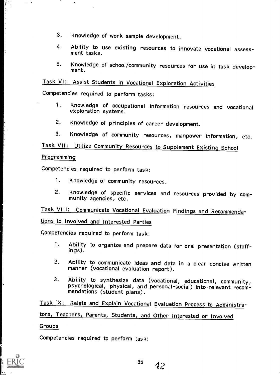- 3. Knowledge of work sample development.
- 4. Ability to use existing resources to innovate vocational assess- ment tasks.
- 5. Knowledge of school/community resources for use in task develop- ment.

## Task VI: Assist Students in Vocational Exploration Activities

Competencies required to perform tasks:

- 1. Knowledge of occupational information resources and vocational exploration systems.
- 2. Knowledge of principles of career development.
- 3. Knowledge of community resources, manpower information, etc.

Task VII: Utilize Community Resources to Supplement Existing School

#### Programming

 $\mathcal{L}^{\pm}$ 

Competencies required to perform task:

- 1. Knowledge of community resources.
- 2. Knowledge of specific services and resources provided by com- munity agencies, etc.

Task VIII: Communicate Vocational Evaluation Findings and Recommenda-

tions to Involved and Interested Parties

Competencies required to perform task:

- 1. Ability to organize and prepare data for oral presentation (staff- ings).
- 2. Ability to communicate ideas and data in a clear concise written manner (vocational evaluation report).
- 3. Ability to synthesize data (vocational, educational, community, psychological, physical, and personal-social) into relevant recom- mendations (student plans).

Task 'X: Relate and Explain Vocational Evaluation Process to Administrators, Teachers, Parents, Students, and Other Interested or Involved

#### Groups

Competencies required to perform task:

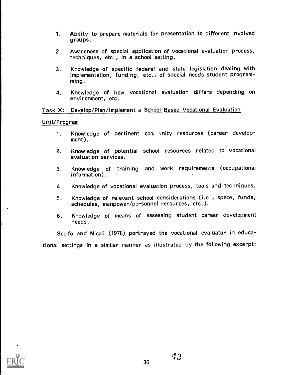- 1. Ability to prepare materials for presentation to different involved groups.
- 2. Awareness of special application of vocational evaluation process,<br>techniques, etc., in a school setting.
- 3. Knowledge of specific federal and state legislation dealing with implementation, funding, etc., of special needs student programming.
- 4. Knowledge of how vocational evaluation differs depending on environment, etc.

#### Task X: Develop/Plan/Implement a School Based Vocational Evaluation

#### Unit/Program

- 1. Knowledge of pertinent con 'inity resources (career development).
- 2. Knowledge of potential school resources related to vocational evaluation services.
- 3. Knowledge of training and work requirements (occupational information).
- 4. Knowledge of vocational evaluation process, tools and techniques.
- 5. Knowledge of relevant school considerations (i.e., space, funds, schedules, manpower/personnel recources, etc.).
- 6. Knowledge of means of assessing student career development needs.

Scelfo and Miceli (1978) portrayed the vocational evaluator in educational settings in a similar manner as illustrated by the following excerpt:

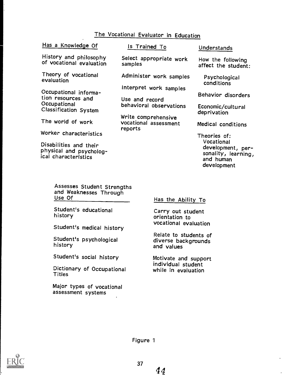## The Vocational Evaluator in Education

| Has a Knowledge Of                                                                                | Is Trained To                                           | Understands                                                                        |
|---------------------------------------------------------------------------------------------------|---------------------------------------------------------|------------------------------------------------------------------------------------|
| History and philosophy<br>of vocational evaluation                                                | Select appropriate work<br>samples                      | How the following<br>affect the student:                                           |
| Theory of vocational<br>evaluation<br>Occupational informa-<br>tion resources and<br>Occupational | Administer work samples<br>Interpret work samples       | Psychological<br>conditions<br>Behavior disorders                                  |
|                                                                                                   | Use and record                                          |                                                                                    |
| <b>Classification System</b>                                                                      | behavioral observations                                 | Economic/cultural<br>deprivation                                                   |
| The world of work                                                                                 | Write comprehensive<br>vocational assessment<br>reports | Medical conditions                                                                 |
| Worker characteristics                                                                            |                                                         | Theories of:                                                                       |
| Disabilities and their<br>physical and psycholog-<br>ical characteristics                         |                                                         | Vocational<br>development, per-<br>sonality, learning,<br>and human<br>development |

and Weaknesses Through Use Of

Student's educational history

Student's medical history

Student's psychological history

Student's social history

Dictionary of Occupational Titles

Major types of vocational assessment systems

Has the Ability To

Carry out student orientation to vocational evaluation

Relate to students of diverse backgrounds and values

Motivate and support individual student while in evaluation

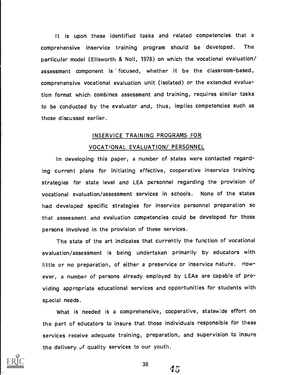It is upon these identified tasks and related competencies that <sup>a</sup> comprehensive inservice training program should be developed. The particular model (Ellsworth & Noll, 1978) on which the vocational evaluation/ assessment component is focused, whether it be the classroom-based, comprehensive vocational evaluation unit (isolated) or the extended evaluation format which combines assessment and training, requires similar tasks to be conducted by the evaluator and, thus, implies competencies such as those discussed earlier.

# INSERVICE TRAINING PROGRAMS FOR VOCATIONAL EVALUATION/ PERSONNEL

In developing this paper, a number of states were contacted regarding current plans for initiating effective, cooperative inservice training strategies for state level and LEA personnel regarding the provision of vocational evaluation/assessment services in schools. None of the states had developed specific strategies for inservice personnel preparation so that assessment and evaluation competencies could be developed for those persons involved in the provision of these services.

The state of the art indicates that currently the function of vocational evaluation/assessment is being undertaken primarily by educators with little or no preparation, of either a preservice or inservice nature. However, a number of persons already employed by LEAs are capable of providing appropriate educational services and opportunities for students with special needs.

What is needed is a comprehensive, cooperative, statewide effort on the part of educators to insure that those individuals responsible for these services receive adequate training, preparation, and supervision to insure the delivery of quality services to our youth.



 $38 \t 45$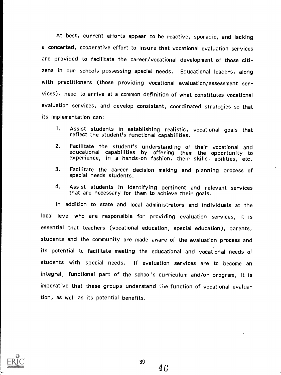At best, current efforts appear to be reactive, sporadic, and lacking a concerted, cooperative effort to insure that vocational evaluation services are provided to facilitate the career/vocational development of those citizens in our schools possessing special needs. Educational leaders, along with practitioners (those providing vocational evaluation/assessment services), need to arrive at a common definition of what constitutes vocational evaluation services, and develop consistent, coordinated strategies so that its implementation can:

- 1. Assist students in establishing realistic, vocational goals that reflect the student's functional capabilities.
- 2. Facilitate the student's understanding of their vocational and educational capabilities by offering them the opportunity to experience, in a hands-on fashion, their skills, abilities, etc.
- 3. Facilitate the career decision making and planning process of special needs students.
- 4. Assist students in identifying pertinent and relevant services that are necessary for them to achieve their goals.

In addition to state and local administrators and individuals at the local level who are responsible for providing evaluation services, it is essential that teachers (vocational education, special education), parents, students and the community are made aware of the evaluation process and its potential tc facilitate meeting the educational and vocational needs of students with special needs. If evaluation services are to become an integral, functional part of the school's curriculum and/or program, it is imperative that these groups understand the function of vocational evaluation, as well as its potential benefits.



 $46\,$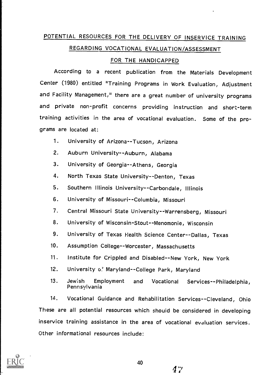# POTENTIAL RESOURCES FOR THE DELIVERY OF INSERVICE TRAINING REGARDING VOCATIONAL EVALUATION/ASSESSMENT

#### FOR THE HANDICAPPED

According to a recent publication from the Materials Development Center (1980) entitled "Training Programs in Work Evaluation, Adjustment and Facility Management," there are a great number of university programs and private non-profit concerns providing instruction and short-term training activities in the area of vocational evaluation. Some of the programs are located at:

- 1. University of Arizona--Tucson, Arizona
- 2. Auburn University--Auburn, Alabama
- 3. University of Georgia--Athens, Georgia
- 4. North Texas State University--Denton, Texas
- 5. Southern Illinois University--Carbondale, Illinois
- 6. University of Missouri--Columbia, Missouri
- 7. Central Missouri State University--Warrensberg, Missouri
- 8. University of Wisconsin-Stout--Menomonie, Wisconsin
- 9. University of Texas Health Science Center--Dallas, Texas
- 10. Assumption College--Worcester, Massachusetts
- 11. Institute for Crippled and Disabled--New York, New York
- 12. University o.<sup>2</sup> Maryland--College Park, Maryland
- 13. Jewish Employment and Vocational Services--Philadelphia, Pennsylvania

14. Vocational Guidance and Rehabilitation Services--Cleveland, Ohio These are all potential resources which should be considered in developing inservice training assistance in the area of vocational evaluation services. Other informational resources include:



47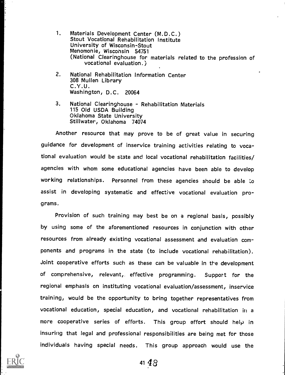- 1. Materials Development Center (M.D.C.) Stout Vocational Rehabilitation Institute University of Wisconsin-Stout Menomonie, Wisconsin 54751 (National Clearinghouse for materials related to the profession of vocational evaluation.)
- 2. National Rehabilitation Information Center 308 Mullen Library C.Y.U. Washington, D.C. 20064
- 3. National Clearinghouse Rehabilitation Materials<br>115 Old USDA Building<br>Oklahoma State University Stillwater, Oklahoma 74074

Another resource that may prove to be of great value in securing guidance for development of inservice training activities relating to vocational evaluation would be state and local vocational rehabilitation facilities/ agencies with whom some educational agencies have been able to develop working relationships. Personnel from these agencies should be able Lo assist in developing systematic and effective vocational evaluation programs.

Provision of such training may best be on a regional basis, possibly by using some of the aforementioned resources in conjunction with other resources from already existing vocational assessment and evaluation components and programs in the state (to include vocational rehabilitation). Joint cooperative efforts such as these can be valuable in the development of comprehensive, relevant,. effective programming. Support for the regional emphasis on instituting vocational evaluation/assessment, inservice training, would be the opportunity to bring together representatives from vocational education, special education, and vocational rehabilitation in a more cooperative series of efforts. This group effort should help in insuring that legal and professional responsibilities are being met for those individuals having special needs. This group approach would use the

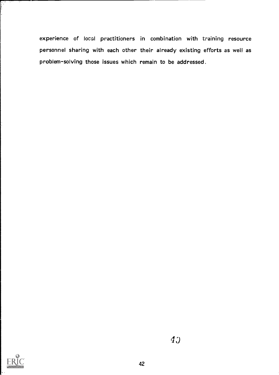experience of local practitioners in combination with training resource personnel sharing with each other their already existing efforts as weil as problem-solving those issues which remain to be addressed.

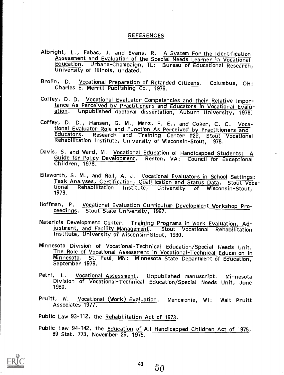#### **REFERENCES**

- Albright, L., Fabac, J. and Evans, R. A System For the Identification<br>Assessment and Evaluation of the Special Needs Learner in Vocational<br>Education. Urbana-Champaign, IL: Bureau of Educational Research,<br>University of Illi
- Broiin, D. Vocational Preparation of Retarded Citizens. Columbus, OH: Charles E. Merrill Publishing Co., 1976.
- Coffey, D. D. Vocational Evaluator Competencies and their Relative Importance As Perceived by Practitioners and Educators in Vocational Evalu- ation. Unpublished doctoral dissertation, Auburn University, 1978.
- Coffey, D. D., Hansen, G. M., Menz, F. E., and Coker, C. C. Voca-<br>tional Evaluator Role and Function As Perceived by Practitioners and Educators. Research and Training Center #22, Stout Vocational Rehabilitation Institute, University of Wisconsin-Stout, 1978.
- Davis, S. and Ward, M. Vocational Education of Handicapped Students: A Guide for Policy Development. Reston, VA: Council for Exceptional Children, 1978.
- Ellsworth, S. M., and Noll, A. J. Vocational Evaluators in School Settings:<br>Task Analyses, Certification, Qualification and Status Data. Stout Voca-<br>tional Rehabilitation Institute, University of Wisconsin-Stout,<br>1978.
- Hoffman, P. Vocational Evaluation Curriculum Development Workshop Proceedings. Stout State University, 1967.
- Materials Development Center. Training Programs in Work Evaluation, Adjustment, and Facility Management. Stout Vocational Rehabilitation Institute, University of Wisconsin-Stout, 1980.
- Minnesota Division of Vocational-Technical Education/Special Needs Unit. The Role of Vocational Assessment in Vocational-Technical Educal on in Minnesota. St. Paul, MN: Minnesota State Department of Education,
- Petri, L. Vocational Assessment. Unpublished manuscript. Minnesota Division of Vocational-Technical Education/Special Needs Unit, June 1980
- Pruitt, W. Vocational (Work) Evaluation. Menomonie, WI: Walt Pruitt Associates 1977.
- Public Law 93-112, the Rehabilitation Act of 1973.
- Public Law 94-142, the Education of All Handicapped Children Act of 1975,<br>89 Stat. 773, November 29, 1975.

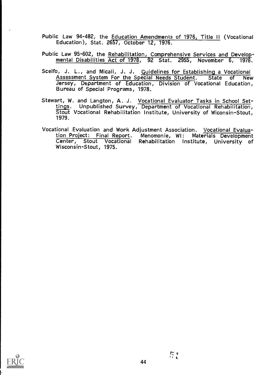- Public Law 94-482, the Education Amendments of 1976, Title II (Vocational Education), Stat. 2657, October 12, 1976.
- Public Law 95-602, the Rehabilitation, Comprehensive Services and Develop- mental Disabilities Act of 1978, <sup>92</sup> Stat. 2955, November 6, 1978.
- Scelfo, J. L., and Micali, J. J. Guidelines for Establishing a Vocational<br>Assessment System For the Special Needs Student. State of New Jersey, Department of Education, Division of Vocational Education, Bureau of Special Programs, 1978.
- Stewart, W. and Langton, A. J. Vocational Evaluator Tasks in School Set-<br>tings. Unpublished Survey, Department of Vocational Rehabilitation, Stout Vocational Rehabilitation Institute, University of Wiconsin-Stout, 1979.
- Vocational Evaluation and Work Adjustment Association. Vocational Evalua-<br>tion Project: Final Report. Menomonie, WI: Materials Development Tenter, Stout Vocational Rehabilitation Institute, University of Wisconsin-Stout, 1975.

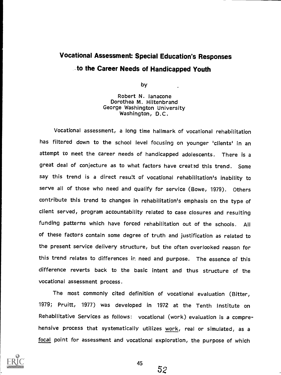# **Vocational Assessment: Special Education's Responses** to the Career Needs of Handicapped Youth

by

Robert N. lanacone Dorothea M. Hiltenbrand George Washington University Washington, D.C.

Vocational assessment, a long time hallmark of vocational rehabilitation has filtered down to the school level focusing on younger 'clients' in an attempt to meet the career needs of handicapped adolescents. There is a great deal of conjecture as to what factors have created this trend. Some say this trend is a direct result of vocational rehabilitation's inability to serve all of those who need and qualify for service (Bowe, 1979). Others contribute this trend to changes in rehabilitation's emphasis on the type of client served, program accountability related to case closures and resulting funding patterns which have forced rehabilitation out of the schools. All of these factors contain some degree of truth and justification as related to the present service delivery structure, but the often overlooked reason for this trend relates to differences ir. need and purpose. The essence of this difference reverts back to the basic intent and thus structure of the vocational assessment process.

The most commonly cited definition of vocational evaluation (Bitter, 1979; Pruitt, 1977) was developed in <sup>1972</sup> at the Tenth Institute on Rehabilitative Services as follows: vocational (work) evaluation is a comprehensive process that systematically utilizes work, real or simulated, as a focal point for assessment and vocational exploration, the purpose of which



45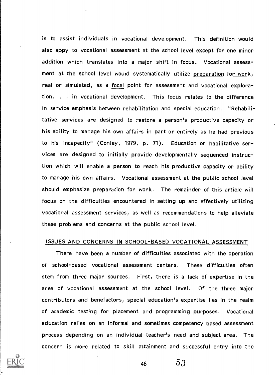is to assist individuals in vocational development. This definition would also appy to vocational assessment at the school level except for one minor addition which translates into a major shift in focus. Vocational assessment at the school level would systematically utilize preparation for work, real or simulated, as a focal point for assessment and vocational exploration. . . in vocational development. This focus relates to the difference in service emphasis between rehabilitation and special education. "Rehabilitative services are designed to restore a person's productive capacity or his ability to manage his own affairs in part or entirely as he had previous to his incapacity" (Conley, 1979, p. 71). Education or habilitative services are designed to initially provide developmentally sequenced instruction which will enable a person to reach his productive capacity or ability to manage his own affairs. Vocational assessment at the public school level should emphasize preparation for work. The remainder of this article will focus on the difficulties encountered in setting up and effectively utilizing vocational assessment services, as well as recommendations to help alleviate these problems and concerns at the public school level.

#### ISSUES AND CONCERNS IN SCHOOL-BASED VOCATIONAL ASSESSMENT

There have been a number of difficulties associated with the operation of school-based vocational assessment centers. These difficulties often stem from three major sources. First, there is a lack of expertise in the area of vocational assessment at the school level. Of the three major contributors and benefactors, special education's expertise lies in the realm of academic testing for placement and programming purposes. Vocational education relies on an informal and sometimes competency based assessment process depending on an individual teacher's need and subject area. The concern is more related to skill attainment and successful entry into the

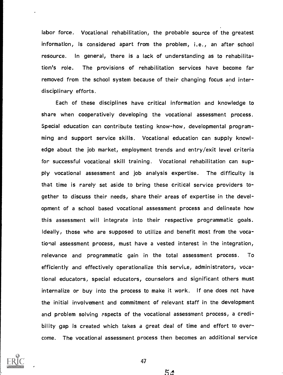labor force. Vocational rehabilitation, the probable source of the greatest information, is considered apart from the problem, i.e., an after school resource. In general, there is a lack of understanding as to rehabilitation's role. The provisions of rehabilitation services have become far removed from the school system because of their changing focus and interdisciplinary efforts.

Each of these disciplines have critical information and knowledge to share when cooperatively developing the vocational assessment process. Special education can contribute testing know-how, developmental programming and support service skills. Vocational education can supply knowledge about the job market, employment trends and entry/exit level criteria for successful vocational skill training. Vocational rehabilitation can supply vocational assessment and job analysis expertise. The difficulty is that time is rarely set aside to bring these critical service providers together to discuss their needs, share their areas of expertise in the development of a school based vocational assessment process and delineate how this assessment will integrate into their respective programmatic goals. Ideally, those who are supposed to utilize and benefit most from the vocational assessment process, must have a vested interest in the integration, relevance and programmatic gain in the total assessment process. To efficiently and effectively operationalize this service, administrators, vocational educators, special educators, counselors and significant others must internalize or buy into the process to make it work. If one does not have the initial involvement and commitment of relevant staff in the development and problem solving ?spects of the vocational assessment process, a credibility gap is created which takes a great deal of time and effort to overcome. The vocational assessment process then becomes an additional service



 $54$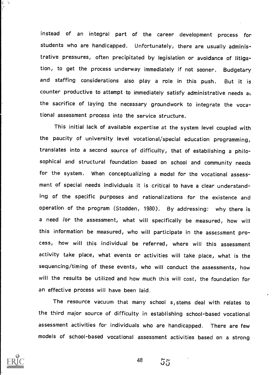instead of an integral part of the career development process for students who are handicapped. Unfortunately, there are usually administrative pressures, often precipitated by legislation or avoidance of litigation, to get the process underway immediately if not sooner. Budgetary and staffing considerations also play <sup>a</sup> role in this push. But it is counter productive to attempt to immediately satisfy administrative needs at the sacrifice of laying the necessary groundwork to integrate the vocational assessment process into the service structure.

This initial lack of available expertise at the system level coupled with the paucity of university level vocational/special education programming, translates into a second source of difficulty, that of establishing a philosophical and structural foundation based on school and community needs for the system. When conceptualizing a model for the vocational assessment of special needs individuals it is critical to have a clear understanding of the specific purposes and rationalizations for the existence and operation of the program (Stodden, 1980). By addressing: why there is a need For the assessment, what will specifically be measured, how will this information be measured, who will participate in the assessment process, how will this individual be referred, where will this assessment activity take place, what events or activities will take place, what is the sequencing/timing of these events, who will conduct the assessments, how will the results be utilized and how much this will cost, the foundation for an effective process will have been laid.

The resource vacuum that many school s, stems deal with relates to the third major source of difficulty in establishing school-based vocational assessment activities for individuals who are handicapped. There are few models of school-based vocational assessment activities based on a strong

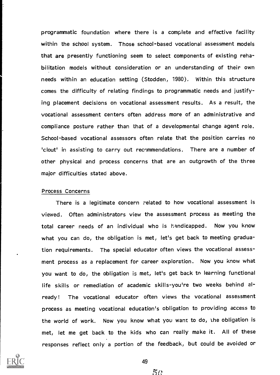programmatic foundation where there is a complete and effective facility within the school system. Those school-based vocational assessment models that are presently functioning seem to select components of existing rehabilitation models without consideration or an understanding of their own needs within an education setting (Stodden, 1980), Within this structure comes the difficulty of relating findings to programmatic needs and justifying placement decisions on vocational assessment results. As a result, the vocational assessment centers often address more of an administrative and compliance posture rather than that of a developmental change agent role. School-based vocational assessors often relate that the position carries no 'clout' in assisting to carry out recommendations. There are a number of other physical and process concerns that are an outgrowth of the three major difficulties stated above.

#### Process Concerns

There is a legitimate concern related to how vocational assessment is viewed. Often administrators view the assessment process as meeting the total career needs of an individual who is handicapped. Now you know what you can do, the obligation is met, let's get back to meeting graduation requirements. The special educator often views the vocational assessment process as a replacement for career exploration. Now you know what you want to do, the obligation is met, let's get back to learning functional life skills or remediation of academic skills-you're two weeks behind already! The vocational educator often views the vocational assessment process as meeting vocational education's obligation to providing access to the world of work. Now you know what you want to do, the obligation is met, let me get back to the kids who can really make it. All of these responses reflect only a portion of the feedback, but could be avoided or



 $50$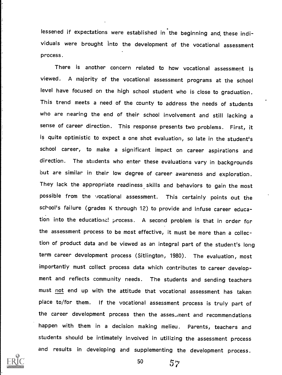lessened if expectations were established in the beginning and these individuals were brought into the development of the vocational assessment process.

There is another concern related to how vocational assessment is viewed. A majority of the vocational assessment programs at the school level have focused on the high school student who is close to graduation. This trend meets a need of the county to address the needs of students who are nearing the end of their school involvement and still lacking a sense of career direction. This response presents two problems. First, it is quite optimistic to expect a one shot evaluation, so late in the student's school career, to make <sup>a</sup> significant impact on career aspirations and direction. The students who enter these evaluations vary in backgrounds but are similar in their low degree of career awareness and exploration. They lack the appropriate readiness skills and behaviors to gain the most possible from the vocational assessment. This certainly points out the school's failure (grades K through 12) to provide and infuse career education into the educationa! process. A second problem is that in order for the assessment process to be most effective, it must be more than a collection of product data and be viewed as an integral part of the student's long term career development process (Sitlington, 1980). The evaluation, most importantly must collect process data which contributes to career development and reflects community needs. The students and sending teachers must not end up with the attitude that vocational assessment has taken place to/for them. If the vocational assessment process is truly part of the career development process then the asses ment and recommendations happen with them in <sup>a</sup> decision making melieu. Parents, teachers and students should be intimately involved in utilizing the assessment process and results in developing and supplementing the development process.

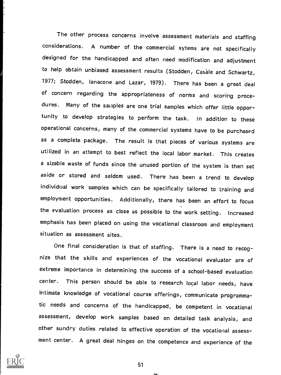The other process concerns involve assessment materials and staffing considerations. A number of the commercial sytems are not specifically designed for the handicapped and often need modification and adjustment to help obtain unbiased assessment results (Stodden, Casale and Schwartz, 1977; Stodden, lanacone and Lazar, 1979). There has been a great deal of concern regarding the appropriateness of norms and scoring procedures. Many of the saiaples are one trial samples which offer little opportunity to develop strategies to perform the task. In addition to these operational concerns, many of the commercial systems have to be purchased as a complete package. The result is that pieces of various systems are utilized in an attempt to best reflect the local labor market. This creates a sizable waste of funds since the unused portion of the system is then set aside or stored and seldom used. There has been a trend to develop individual work samples which can be specifically tailored to training and employment opportunities. Additionally, there has been an effort to focus the evaluation process as close as possible to the work setting. Increased emphasis has been placed on using the vocational classroom and employment situation as assessment sites.

One final consideration is that of staffing. There is a need to recognize that the skills and experiences of the vocational evaluator are of extreme importance in determining the success of a school-based evaluation center. This person should be able to research local labor needs, have intimate knowledge of vocational course offerings, communicate programmatic needs and concerns of the handicapped, be competent in vocational assessment, develop work samples based on detailed task analysis, and other sundry duties related to effective operation of the vocational assessment center. A great deal hinges on the competence and experience of the

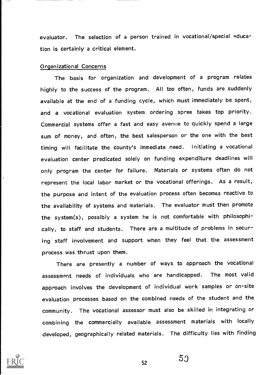evaluator. The selection of a person trained in vocational/special education is certainly a critical element.

#### Organizational Concerns

The basis for organization and development of <sup>a</sup> program relates highly to the success of the program. All too often, funds are suddenly available at the end of a funding cycle, which must immediately be spent, and a vocational evaluation system ordering spree takes top priority. Commercial systems offer a fast and easy avenue to quickly spend a large sum of money, and often, the best salesperson or the one with the best timing will facilitate the county's immediate need. Initiating a vocational evaluation center predicated solely on funding expenditure deadlines will only program the center for failure. Materials or systems often do not represent the local labor market or the vocational offerings. As a result, the purpose and intent of the evaluation process often becomes reactive to the availability of systems and materials. The evaluator must then promote the system(s), possibly a system he is not comfortable with philosophically, to staff and students. There are a multitude of problems in securing' staff involvement and support when they feel that the assessment process was thrust upon them.

There are presently a number of ways to approach the vocational assessment needs of individuals who are handicapped. The most valid approach involves the development of individual work samples or on-site evaluation processes based on the combined needs of the student and the community. The vocational assessor must also be skilled in integrating or combining the commercially available assessment materials with locally developed, geographically related materials. The difficulty lies with finding



53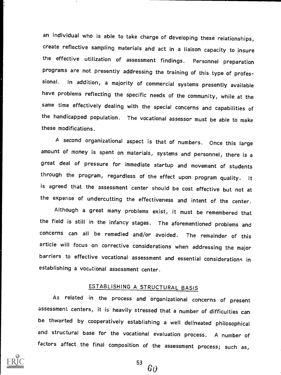an individual who is able to take charge of developing these relationships, create reflective sampling materials and act in a liaison capacity to insure the effective utilization of assessment findings. Personnel preparation programs are not presently addressing the training of this type of professional. In addition, a majority of commercial systems presently available have problems reflecting the specific needs of the community, while at the same time effectively dealing with the special concerns and capabilities of the handicapped population. The vocational assessor must be able to make these modifications.

A second organizational aspect is that of numbers. Once this large amount of money is spent on materials, systems and personnel, there is a great deal of pressure for immediate startup and movement of students through the program, regardless of the effect upon program quality. It is agreed that the assessment center should be cost effective but not at the expense of undercutting the effectiveness and intent of the center.

Although a great many problems exist, it must be remembered that the field is still in the infancy stages. The aforementioned problems and concerns can all be remedied and/or avoided. The remainder of this article will focus on corrective considerations when addressing the major barriers to effective vocational assessment and essential considerations in establishing a vocational assessment center.

## ESTABLISHING A STRUCTURAL BASIS

As related in the process and organizational concerns of present assessment centers, it is heavily stressed that a number of difficulties can be thwarted by cooperatively establishing a well delineated philosophical and structural base for the vocational evaluation process. A number of factors affect the final composition of the assessment process; such as,

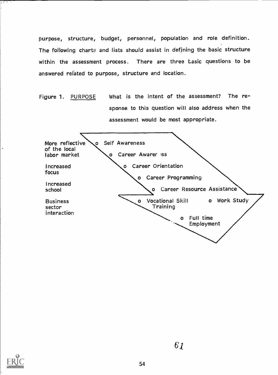purpose, structure, budget, personnel, population and role definition. The following charts and lists should assist in defining the basic structure within the assessment process. There are three basic questions to be answered related to purpose, structure and location.

Figure 1. PURPOSE What is the intent of the assessment? The response to this question will also address when the assessment would be most appropriate.



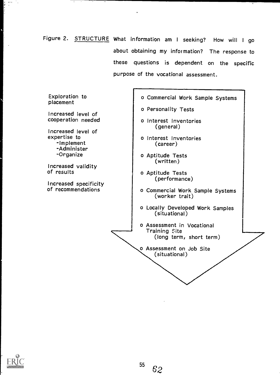Figure 2. STRUCTURE What information am I seeking? How will I go about obtaining my information? The response to these questions is dependent on the specific purpose of the vocational assessment.





 $\sigma$  +  $\zeta$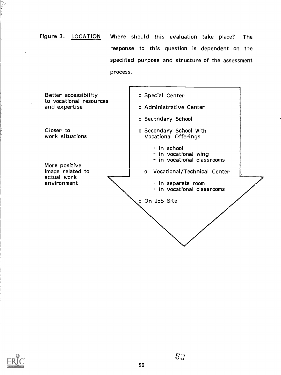Figure 3. LOCATION Where should this evaluation take place? The response to this question is dependent on the specified purpose and structure of the assessment process.



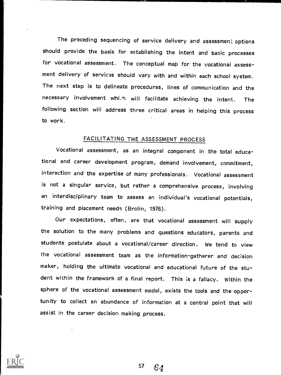The preceding sequencing of service delivery and assessment options should provide the basis for establishing the intent and basic processes for vocational assessment. The conceptual map for the vocational assessment delivery of services should vary with and within each school system. The next step is to delineate procedures, lines of communication and the necessary involvement whi.h will facilitate achieving the intent. The following section will address three critical areas in helping this process to work.

AP,

### FACILITATING THE ASSESSMENT PROCESS

Vocational assessment, as an integral component in the total educational and career development program, demand involvement, commitment, interaction and the expertise of many professionals. Vocational assessment is not a singular service, but rather a comprehensive process, involving an interdisciplinary team to assess an individual's vocational potentials, training and placement needs (Brolin, 1976).

Our expectations, often, are that vocational assessment will supply the solution to the many problems and questions educators, parents and students postulate about a vocational/career direction. We tend to view the vocational assessment team as the information-gatherer and decision maker, holding the ultimate vocational and educational future of the student within the framework of a final report. This is a fallacy. Within the sphere of the vocational assessment model, exists the tools and the opportunity to collect an abundance of information at a central point that will assist in the career decision making process.

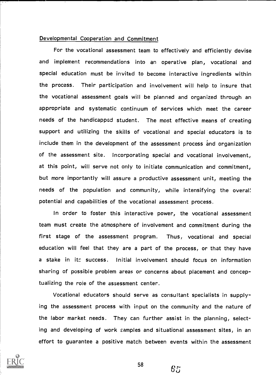#### Developmental Cooperation and Commitment

For the vocational assessment team to effectively and efficiently devise and implement recommendations into an operative plan, vocational and special education must be invited to become interactive ingredients within the process. Their participation and involvement will help to insure that the vocational assessment goals will be planned and organized through an appropriate and systematic continuum of services which meet the career needs of the handicapped student. The most effective means of creating support and utilizing the skills of vocational and special educators is to include them in the development of the assessment process and organization of the assessment site. incorporating special and vocational involvement, at this point, will serve not only to initiate communication and commitment, but more importantly will assure a productive assessment unit, meeting the needs of the population and community, while intensifying the overal: potential and capabilities of the vocational assessment process.

In order to foster this interactive power, the vocational assessment team must create the atmosphere of involvement and commitment during the first stage of the assessment program. Thus, vocational and special education will feel that they are a part of the process, or that they have a stake in itc success. Initial involvement should focus on information sharing of possible problem areas or concerns about placement and conceptualizing the role of the assessment center.

Vocational educators should serve as consultant specialists in supplying the assessment process with input on the community and the nature of the labor market needs. They can further assist in the planning, selecting and developing of work samples and situational assessment sites, in an effort to guarantee a positive match between events within the assessment

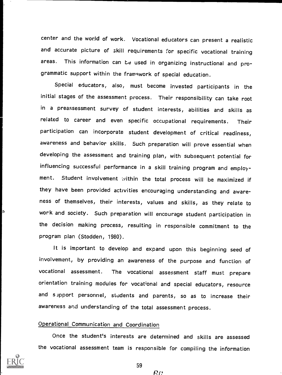center and the world of work. Vocational educators can present a realistic and accurate picture of skill requirements for specific vocational training areas. This information can be used in organizing instructional and programmatic support within the framework of special education.

Special educators, also, must become invested participants in the initial stages of the assessment process. Their responsibility can take root in a preassessment survey of student interests, abilities and skills as related to career and even specific occupational requirements. Their participation can incorporate student development of critical readiness, awareness and behavior skills. Such preparation will prove essential when developing the assessment and training plan, with subsequent potential for influencing successful performance in a skill training program and employment. Student involvement within the total process will be maximized if they have been provided activities encouraging understanding and awareness of themselves, their interests, values and skills, as they relate to  $\phi$  , work and society. Such preparation will encourage student participation in the decision making process, resulting in responsible commitment to the program plan (Stodden, 1980).

> It is important to develop and expand upon this beginning seed of involvement, by providing an awareness of the purpose and function of vocational assessment. The vocational assessment staff must prepare orientation training modules for vocational and special educators, resource and s ipport personnel, students and parents, so as to increase their awareness and understanding of the total assessment process.

### Operational Communication and Coordination

Once the student's interests are determined and skills are assessed the vocational assessment team is responsible for compiling the information



59

 $R_{P}$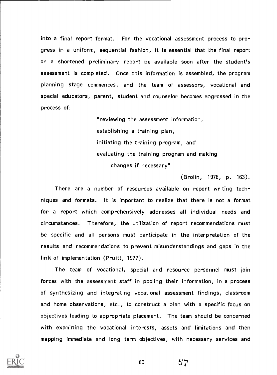into a final report format. For the vocational assessment process to progress in a uniform, sequential fashion, it is essential that the final report or a shortened preliminary report be available soon after the student's assessment is completed. Once this information is assembled, the program planning stage commences, and the team of assessors, vocational and special educators, parent, student and counselor becomes engrossed in the process of:

> "reviewing the assessment information, establishing a training plan, initiating the training program, and evaluating the training program and making changes if necessary"

> > (Brolin, 1976, p. 163).

There are a number of resources available on report writing techniques and formats. It is important to realize that there is not a format for a report which comprehensively addresses all individual needs and circumstances. Therefore, the utilization of report recommendations must be specific and all persons must participate in the interpretation of the results and recommendations to prevent misunderstandings and gaps in the link of implementation (Pruitt, 1977).

The team of vocational, special and resource personnel must join forces with the assessment staff in pooling their information, in a process of synthesizing and integrating vocational assessment findings, classroom and home observations, etc., to construct a plan with a specific focus on objectives leading to appropriate placement. The team should be concerned with examining the vocational interests, assets and limitations and then mapping immediate and long term objectives, with necessary services and



60 6<sup>"d</sup>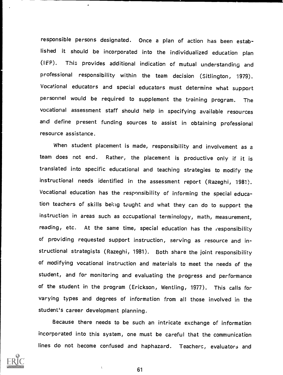responsible persons designated. Once a plan of action has been established it should be incorporated into the individualized education plan (IEP). This provides additional indication of mutual understanding and professional responsibility within the team decision (Sitlington, 1979). Vocational educators and special educators must determine what support personnel would be required to supplement the training program. The vocational assessment staff should help in specifying available resources and define present funding sources to assist in obtaining professional resource assistance.

When student placement is made, responsibility and involvement as a team does not end. Rather, the placement is productive only if it is translated into specific educational and teaching strategies to modify the instructional needs identified in the assessment report (Razeghi, 1981). Vocational education has the responsibility of informing the special education teachers of skills being taught and what they can do to support the instruction in areas such as occupational terminology, math, measurement, reading, etc. At the same time, special education has the responsibility of providing requested support instruction, serving as resource and instructional strategists (Razeghi, 1981). Both share the joint responsibility of modifying vocational instruction and materials to meet the needs of the student, and for monitoring and evaluating the progress and performance of the student in the program (Erickson, Wentling, 1977). This calls for varying types and degrees of information from all those involved in the student's career development planning.

Because there needs to be such an intricate exchange of information incorporated into this system, one must be careful that the communication lines do not become confused and haphazard. Teachers, evaluators and

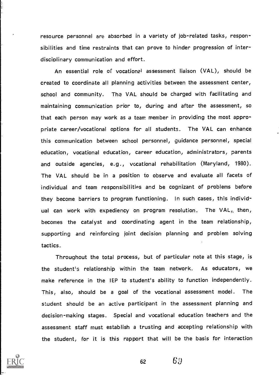resource personnel are absorbed in a variety of job-related tasks, responsibilities and time restraints that can prove to hinder progression of interdisciplinary communication and effort.

An essential role of vocational assessment liaison (VAL), should be created to coordinate all planning activities between the assessment center, school and community. The VAL should be charged with facilitating and maintaining communication prior to, during and after the assessment, so that each person may work as a team member in providing the most appropriate career/vocational options for all students. The VAL can enhance this communication between school personnel, guidance personnel, special education, vocational education, career education, administrators, parents and outside agencies, e.g., vocational rehabilitation (Maryland, 1980). The VAL should be in a position to observe and evaluate all facets of individual and team responsibilities and be cognizant of problems before they become barriers to program functioning. In such cases, this individual can work with expediency on program resolution. The VAL, then, becomes the catalyst and coordinating agent in the team relationship, supporting and reinforcing joint decision planning and problem solving tactics.

Throughout the total process, but of particular note at this stage, is the student's relationship within the team network. As educators, we make reference in the IEP to student's ability to function independently. This, also, should be a goal of the vocational assessment model. The student should be an active participant in the assessment planning and decision-making stages. Special and vocational education teachers and the assessment staff must establish a trusting and accepting relationship with the student, for it is this rapport that will be the basis for interaction

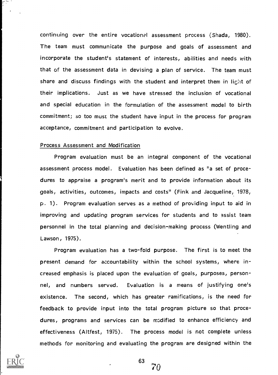continuing over the entire vocational assessment process (Shada, 1980). The team must communicate the purpose and goals of assessment and incorporate the student's statement of interests, abilities and needs with that of the assessment data in devising a plan of service. The team must share and discuss findings with the student and interpret them in light of their implications. Just as we have stressed the inclusion of vocational and special education in the formulation of the assessment model to birth commitment; so too must the student have input in the process for program acceptance, commitment and participation to evolve.

#### Process Assessment and Modification

Program evaluation must be an integral component of the vocational assessment process model. Evaluation has been defined as "a set of procedures to appraise a program's merit and to provide information about its goals, activities, outcomes, impacts and costs" (Fink and Jacqueline, 1978, p. 1). Program evaluation serves as a method of providing input to aid in improving and updating program services for students and to assist team personnel in the total planning and decision-making process (Wentling and Lawson, 1975).

Program evaluation has a two-fold purpose. The first is to meet the present demand for accountability within the school systems, where increased emphasis is placed upon the evaluation of goals, purposes, personnel, and numbers served. Evaluation is a means of justifying one's existence. The second, which has greater ramifications, is the need for feedback to provide input into the total program picture so that procedures, programs and services can be modified to enhance efficiency and effectiveness (Altfest, 1975). The process model is not complete unless methods for monitoring and evaluating the program are designed within the



63 70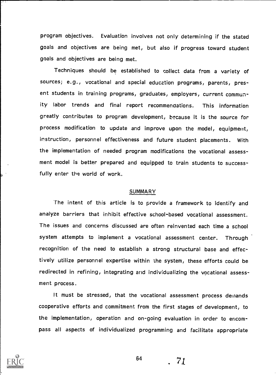program objectives. Evaluation involves not only determining if the stated goals and objectives are being met, but also if progress toward student goals and objectives are being met.

Techniques should be established to collect data from a variety of sources; e.g., vocational and special education programs, parents, present students in training programs, graduates, employers, current community labor trends and final report recommendations. This information greatly contributes to program development, because it is the source for process modification to update and improve upon the model, equipment, instruction, personnel effectiveness and future student placements. With the implementation of needed program modifications the vocational assessment model is better prepared and equipped to train students to successfully enter the world of work.

#### SUMMARY

The intent of this article is to provide a framework to identify and analyze barriers that inhibit effective school-based vocational assessment. The issues and concerns discussed are often reinvented each time a school system attempts to implement a vocational assessment center. Through recognition of the need to establish a strong structural base and effectively utilize personnel expertise within the system, these efforts could be redirected in refining, integrating and individualizing the vocational assessment process.

It must be stressed, that the vocational assessment process demands cooperative efforts and commitment from the first stages of development, to the implementation, operation and on-going evaluation in order to encompass all aspects of individualized programming and facilitate appropriate



64

. 71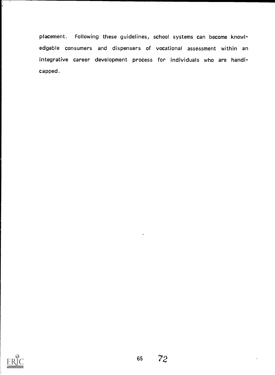placement. Following these guidelines, school systems can become knowledgable consumers and dispensers of vocational assessment within an integrative career development process for individuals who are handicapped.

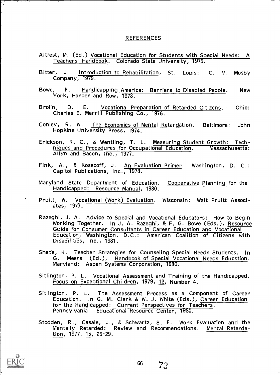#### REFERENCES

- Altfest, M. (Ed.) Vocational Education for Students with Special Needs: A Teachers' Handbook. Colorado State University, 1075.
- Bitter, J. <u>Introduction to Rehabilitation</u>, St. Louis: C. V. Mosby<br>Company, 1979.
- Bowe, F. Handicapping America: Barriers to Disabled People. New York, Harper and Row, 1978.
- Brolin, D. E. Vocational Preparation of Retarded Citizens. Ohio: Charles E. Merrill Publishing Co., 1976.
- Conley, R. W. The Economics of Mental Retardation. Baltimore: John Hopkins University Press, 1974.
- Erickson, R. C., & Wentling, T. L. Measuring Student Growth: Techniques and Procedures for Occupational Education. Massachusetts: Allyn and Bacon, Inc., 1977.
- Fink, A., & Kosecoff, J. An Evaluation Primer. Washington, D. C.: Capitol Publications, Inc., 1978.
- Maryland State Department of Education. Cooperative Planning for the Handicapped: Resource Manual, 1980.
- Pruitt, W. <u>Vocational (Work) Evaluation</u>. Wisconsin: Walt Pruitt Associates, 1977.
- Razeghi, J. A. Advice to Special and Vocational Edusators: How to Begin<br>Working Together. In J. A. Razeghi, & F. G. Bowe (Eds.), <u>Resource</u><br>Guide for Consumer Consultants in Career Education and Vocational Education, Washington, D.C.: American Coalition of Citizens with Disabilities, Inc., 1981.
- Shada, K. Teacher Strategies for Counseling Special Needs Students. In G. Meers (Ed.), Handbook of Special Vocational Needs Education. Maryland: Aspen Systems Corporation, 1980.
- Sitlington, P. L. Vocational Assessment and Training of the Handicapped. Focus on Exceptional Children, 1979, 12, Number 4.
- Sitlington, P. L. The Assessment Process as a Component of Career Education. In G. M. Clark & W. J. White (Eds.), Career Education for the Handicapped: Current Perspectives for Teachers. Pennsylvania: Educational Resource Center, 1980.
- Stodden, R., Casale, J., & Schwartz, S. E. Work Evaluation and the Mentally Retarded: Review and Recommendations. Mental Retardation, 1977, 15, 25-29.

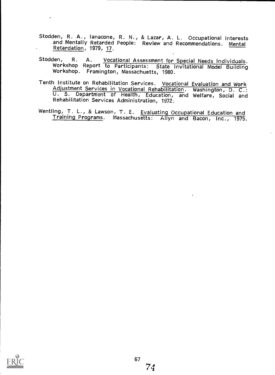Stodden, R. A., lanacone, R. N., & Lazar, A. L. Occupational Interests<br>and Mentally Retarded People: Review and Recommendations. Mental<br>Retardation, 1979, 17.

 $\ddot{\phantom{a}}$ 

- Stodden, R. A. Vocational Assessment for Special Needs Individuals. Workshop Report to Participants: State Invitational Model Building Workshop. Framington, Massachuetts, 1980.
- Tenth Institute on Rehabilitation Services. Vocational Evaluation and Work<br>Adjustment Services in Vocational Rehabilitation. Washington, D. C.: U. S. Department of Health, Education, and Welfare, Social and Rehabilitation Services Administration, 1972.
- Wentling, T. L., & Lawson, T. E. Evaluating Occupational Education and<br>Training Programs. Massachusetts: Allyn and Bacon, Inc., 1975.

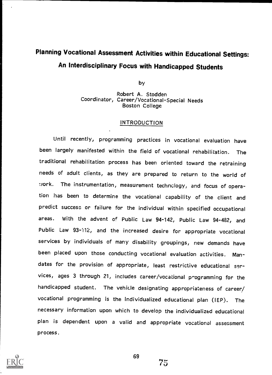# Planning Vocational Assessment Activities within Educational Settings: An Interdisciplinary Focus with Handicapped Students

by

Robert A. Stodden Coordinator, Career/Vocational-Special Needs Boston College

#### INTRODUCTION

Until recently, programming practices in vocational evaluation have been largely manifested within the field of vocational rehabilitation. The traditional rehabilitation process has been oriented toward the retraining needs of adult clients, as they are prepared to return to the world of ..vork. The instrumentation, measurement technology, and focus of operation has been to determine the vocational capability of the client and predict success or failure for the individual within specified occupational areas. With the advent of Public Law 94-142, Public Law 94-482, and Public Law 93-112, and the increased desire for appropriate vocational services by individuals of many disability groupings, new demands have been placed upon those conducting vocational evaluation activities. Mandates for the provision of appropriate, least restrictive educational services, ages 3 through 21, includes career/vocational programming for the handicapped student. The vehicle designating appropriateness of career/ vocational programming is the individualized educational plan (IEP). The necessary information upon which to develop the individualized educational plan is dependent upon <sup>a</sup> valid and appropriate vocational assessment process.

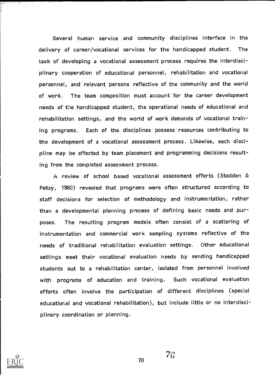Several human service and community disciplines interface in the delivery of career/vocational services for the handicapped student. The task of developing a vocational assessment process requires the interdisciplinary cooperation of educational personnel, rehabilitation and vocational personnel, and relevant persons reflective of the community and the world of work. The team composition must account for the career development needs of the handicapped student, the operational needs of educational and rehabilitation settings, and the world of work demands of vocational training programs. Each of the disciplines possess resources contributing to the development of a vocational assessment process. Likewise, each discipline may be affected by team placement and programming decisions resulting from the completed assessment process.

A review of school based vocational assessment efforts (Stodden & Petzy, 1980) revealed that programs were often structured according to staff decisions for selection of methodology and instrumentation, rather than a developmental planning process of defining basic needs and purposes. The resulting program models often consist of a scattering of instrumentation and commercial work sampling systems reflective of the needs of traditional rehabilitation evaluation settings. Other educational settings meet their vocational evaluation needs by sending handicapped students out to a rehabilitation center, isolated from personnel involved with programs of education and training. Such vocational evaluation efforts often involve the participation of different disciplines (special educational and vocational rehabilitation), but include little or no interdisciplinary coordination or planning.



70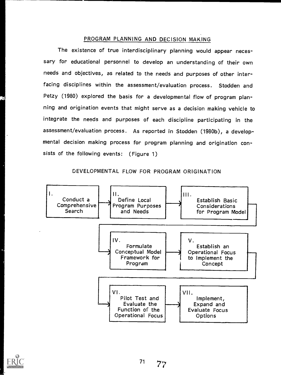#### PROGRAM PLANNING AND DECISION MAKING

The existence of true interdisciplinary planning would appear necessary for educational personnel to develop an understanding of their own needs and objectives, as related to the needs and purposes of other interfacing disciplines within the assessment/evaluation process. Stodden and Petzy (1980) explored the basis for a developmental flow of program planning and origination events that might serve as a decision making vehicle to integrate the needs and purposes of each discipline participating in the assessment/evaluation process. As reported in Stodden (1980b), a developmental decision making process for program planning and origination consists of the following events: (Figure 1)

DEVELOPMENTAL FLOW FOR PROGRAM ORIGINATION



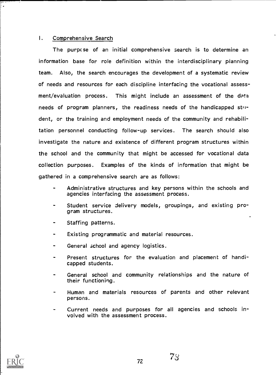#### I. Comprehensive Search

}<br>!∗

The purpc se of an initial comprehensive search is to determine an information base for role definition within the interdisciplinary planning team. Also, the search encourages the development of a systematic review of needs and resources for each discipline interfacing the vocational assessment/evaluation process. This might include an assessment of the data needs of program planners, the readiness needs of the handicapped  $st^{\prime\prime}$ dent, or the training and employment needs of the community and rehabilitation personnel conducting follow-up services. The search should also investigate the nature and existence of different program structures within the school and the community that might be accessed for vocational data collection purposes. Examples of the kinds of information that might be gathered in a comprehensive search are as follows:

- Administrative structures and key persons within the schools and agencies interfacing the assessment process.
- Student service delivery models, groupings, and existing program structures.
- Staffing patterns.  $\blacksquare$
- Existing programmatic and material resources.
- General school and agency logistics.
- Present structures for the evaluation and placement of handicapped students.
- General school and community relationships and the nature of their functioning.
- Human and materials resources of parents and other relevant persons.
- Current needs and purposes for all agencies and schools involved with the assessment process.

'7&

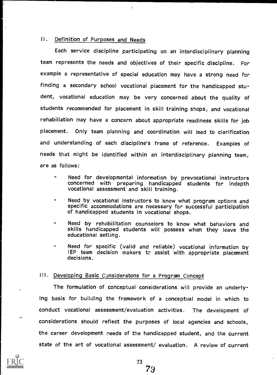#### II. Definition of Purposes and Needs

Each service discipline participating on an interdisciplinary planning team represents the needs and objectives of their specific discipline. For example a representative of special education may have a strong need for finding a secondary school vocational placement for the handicapped student, vocational education may be very concerned about the quality of students recommended for placement in skill training shops, and vocational rehabiliation may have a concern about appropriate readiness skills for job placement. Only team planning and coordination will lead to clarification and understanding of each discipline's frame of reference. Examples of needs that might be identified within an interdisciplinary planning team, are as follows:

- Need for developmental information by prevocational instructors concerned with preparing handicapped students for indepth vocational assessment and skill training.
- Need by vocational instructors to know what program options and specific accommodations are necessary for successful participation of handicapped students in vocational shops.
- Need by rehabilitation counselors to know what behaviors and skills handicapped students will possess when they leave the educational setting.
- Need for specific (valid and reliable) vocational information by IEP team decision makers to assist with appropriate placement<br>decisions.

#### III. Developing Basic Consideratons for a Program Concept

The formulation of conceptual considerations will provide an underlying basis for building the framework of a conceptual model in which to conduct vocational assessment/evaluation activities. The development of considerations should reflect the purposes of local agencies and schools, the career development needs of the handicapped student, and the current state of the art of vocational assessment/ evaluation. A review of current

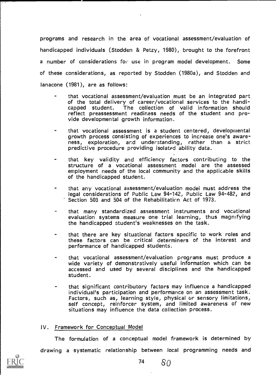programs and research in the area of vocational assessment/evaluation of handicapped individuals (Stodden & Petzy, 1980), brought to the forefront a number of considerations for use in program model development. Some of these considerations, as reported by Stodden (1980a), and Stodden and lanacone (1981), are as follows:

- that vocational assessment/evaluation must be an integrated part of the total delivery of career/vocational services to the handi-<br>capped student. The collection of valid information should The collection of valid information should reflect preassessment readiness needs of the student and pro- vide developmental growth information.
- that vocational assessment is a student centered, developmental growth process consisting of experiences to increase one's awareness, exploration, and understanding, rather than <sup>a</sup> strict predictive procedure providing isolated ability data.
- that key validity and efficiency factors contributing to the structure of <sup>a</sup> vocational assessment model are the assessed employment needs of the local community and the applicable skills of the handicapped student.
- that any vocational assessment/evaluation modei must address the legal considerations of Public Law 94-142, Public Law 94-482, and Section 503 and 504 of the Rehabilitaticn Act of 1973.
- that many standardized assessment instruments and vocational evaluation systems measure one trial learning, thus magnifying the handicapped student's weaknesses on the task.
- that there are key situational factors specific to work roles and these factors can be critical determiners of the interest and performance of handicapped students.
- that vocational assessment/evaluation programs must produce a wide variety of demonstratively useful information which can be accessed and used by several disciplines and the handicapped student.
- that significant contributory factors may influence a handicapped Factors, such as, learning style, physical or sensory limitations, self concept, reinforcer system, and limited awareness of new situations may influence the data collection process.

#### IV. Framework for Conceptual Model

The formulation of a conceptual model framework is determined by



drawing a systematic relationship between local programming needs and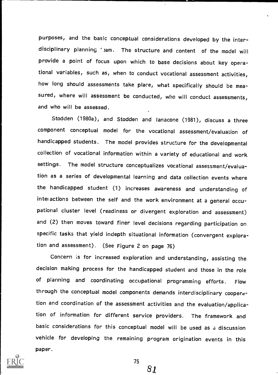purposes, and the basic conceptual considerations developed by the interdisciplinary planning ' am. The structure and content of the model will provide a point of focus upon which to base decisions about key operational variables, such as, when to conduct vocational assessment activities, how long should assessments take place, what specifically should be measured, where will assessment be conducted, who will conduct assessments, and who will be assessed.

Stodden (1980a), and Stodden and lanacone (1981), discuss a three component conceptual model for the vocational assessment/evaluation of handicapped students. The model provides structure for the developmental collection of vocational information within a variety of educational and work settings. The model structure conceptualizes vocational assessment/evaluation as a series of developmental learning and data collection events where the handicapped student (1) increases awareness and understanding of inter actions between the self and the work environment at a general occupational cluster level (readiness or divergent exploration and assessment) and (2) then moves toward finer level decisions regarding participation on specific tasks that yield indepth situational information (convergent exploration and assessment). (See Figure 2 on page 76)

Concern is for increased exploration and understanding, assisting the decision making process for the handicapped student and those in the role of planning and coordinating occupational programming efforts. Flow through the conceptual model components demands interdisciplinary cooperation and coordination of the assessment activities and the evaluation/application of information for different service providers. The framework and basic considerations for this conceptual model will be used as a discussion vehicle for developing the remaining program origination events in this paper.



75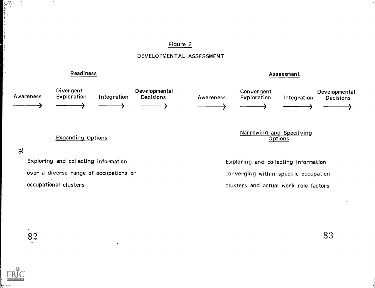#### Figure 2

DEVELOPMENTAL ASSESSMENT

Readiness **Assessment** 



# $3<sub>4</sub>$

المرسمية<br>المراكبة<br>المراكبة

Exploring and collecting information over a diverse range of occupations or occupational clusters

Exploring and collecting information converging within specific occupation clusters and actual work role factors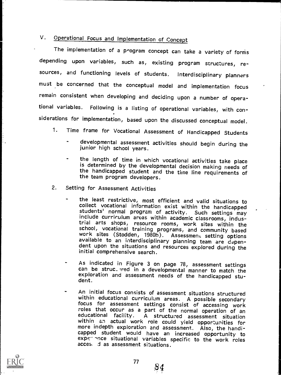# V. Operational Focus and Implementation of Concept

The implementation of a program concept can take a variety of forms depending upon variables, such as, existing program structures, resources, and functioning levels of students. Interdisciplinary planners must be concerned that the conceptual model and implementation focus remain consistent when developing and deciding upon a number of operational variables. Following is a listing of operational variables, with considerations for implementation, based upon the discussed conceptual model.

- 1. Time frame for Vocational Assessment of Handicapped Students
	- developmental assessment activities should begin during the junior high school years.
	- the length of time in which vocational activities take place is determined by the developmental decision making needs of the handicapped student and the time line requirements of the team program developers.
- 2. Setting for Assessment Activities
	- the least restrictive, most efficient and valid situations to collect vocational information exist within the handicapped include curriculum areas within academic classrooms, indus-<br>trial arts shops, resource rooms, work sites within the<br>school, vocational training programs, and community based work sites (Stodden, 1980b). Assessment setting options<br>available to an interdisciplinary planning team are depen-<br>dent upon the situations and resources explored during the initial comprehensive search.
	- As indicated in Figure 3 on page 78, assessment settings can be struc. !red in a developmental manner to match the exploration and assessment needs of the handicapped stu- dent.
	- An initial focus consists of assessment situations structured<br>within educational curriculum areas. A possible secondary<br>focus for assessment settings consist of accessing work<br>roles that occur as a part of the normal opera within an actual work role could yield opportunities for<br>more indepth exploration and assessment. Also, the handi-<br>capped student would have an increased opportunity to<br>experimice situational variables specific to the work acces. d as assessment situations.



 $84 \,$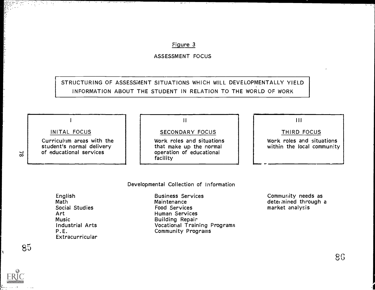#### Figure 3

ASSESSMENT FOCUS

## STRUCTURING OF ASSESSMENT SITUATIONS WHICH WILL DEVELOPMENTALLY YIELD INFORMATION ABOUT THE STUDENT IN RELATION TO THE WORLD OF WORK

INITAL FOCUS

I

Curriculum areas with the student's normal delivery of educational services

ी का अला एक वाप्त का अवेद्<sub>व</sub>ाय

 $\mathbf{H}$ 

### SECONDARY FOCUS

Work roles and situations<br>that make up the normal operation of educational facility

### $111$

#### THIRD FOCUS

Work roles and situations within the local community

Developmental Collection of Information

English Math Social Studies Art Music Industrial Arts P.E. Extracurricular Business Services Maintenance Food Services Human Services Building Repair Vocational Training Programs Community Programs

Community needs as determined through a market analysis

86

 $\approx$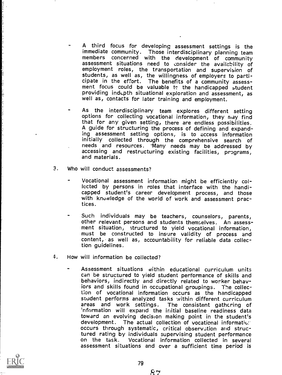- A third focus for developing assessment settings is the immediate community. Those interdisciplinary planning team assessment situations need to consider the availability of<br>employment roles, the transportation and supervision of<br>students, as well as, the willingness of employers to participate in the effort. The benefits of a community assess-<br>ment focus could be valuable to the handicapped student<br>providing indepth situational exploration and assessment, as well as, contacts for later training and employment.
- As the interdisciplinary team explores different setting options for collecting vocational information, they may find that for any given setting, there are endless possibilities. A guide for structuring the process of defining and expanding assessment setting options, is to access information initially collected through the comprehensive search of accessing and restructuring existing facilities, programs, and materials.
- 3. Who will conduct assessments?
	- Vocational assessment information might be efficiently collected by persons in roles that interface with the handicapped student's career development process, and those with knowledge of the world of work and assessment practices.
	- Such individuals may be teachers, counselors, parents, other relevant persons and students themselves. An assessment situation, structured to yield vocational information, must be constructed to insure validity of process and content, as well as, accountability for reliable data collection guidelines.
- 4. How will information be collected?
	- Assessment situations within educational curriculum units can be structured to yield student performance of skills and behaviors, indirectly and directly related to worker behaviors and skills found in occupational groupings. The collection of vocational information occurs as the handicapped student performs analyzed tasks within different curriculum areas and work settings. The consistent gathering of 'nformation will expand the initial baseline readiness data toward an evolving decision making point in the student's development. The actual collection of vocational informatics: occurs through systematic, critical observation and structured rating by individuals supervising student performance<br>on the task. Vocational information collected in several assessment situations and over a sufficient time period is



بر ہے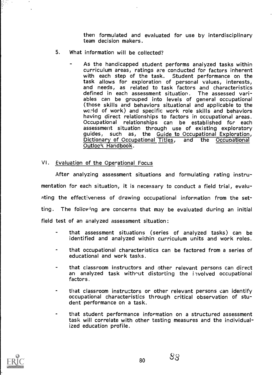then formulated and evaluated for use by interdisciplinary team decision makers.

- 5. What information will be collected?
	- As the handicapped student performs analyzed tasks within curriculum areas, ratings are conducted for factors inherent with each step of the task. Student performance on the task allows for exploration of personal values, interests, and needs, as related to task factors and characteristics defined in each assessment situation. The assessed variables can be grouped into levels of general occupational (those skills and behaviors situational and applicable to the wcrld of work) and specific work role skills and behaviors having direct relationships to factors in oc Occupational relationships can be established for each assessment situation through use of existing exploratory guides, such as, the Guide to Occupational Exploration, Dictionary of Occupational Titles, and the Occupational Outlook Handbook.

#### VI. Evaluation of the Operational Focus

After analyzing assessment situations and formulating rating instrumentation for each situation, it is necessary to conduct a field trial, evaluxlting the effectiveness of drawing occupational information from the setting. The folloving are concerns that may be evaluated during an initial field test of an analyzed assessment situation:

- that assessment situations (series of analyzed tasks) can be identified and analyzed within curriculum units and work roles.
- that occupational characteristics can be factored from a series of educational and work tasks.
- that classroom instructors and other relevant persons can direct an analyzed task without distorting the involved occupational factors.
- that classroom instructors or other relevant persons can identify occupational characteristics through critical observation of stu- dent performance on a task.
- that student performance information on a structured assessment task will correlate with other testing measures and the individualized education profile.

 $83 \,$ 

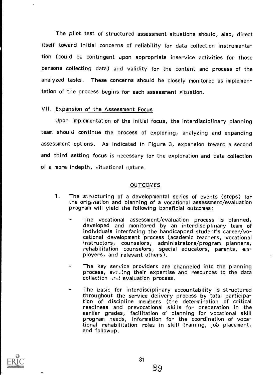The pilot test of structured assessment situations should, also, direct itself toward initial concerns of reliability for data collection instrumentation (could be contingent upon appropriate inservice activities for those persons collecting data) and validity for the content and process of the analyzed tasks. These concerns should be closely monitored as implementation of the process begins for each assessment situation.

#### VII. Expansion of the Assessment Focus

Upon implementation of the initial focus, the interdisciplinary planning team should continue the process of exploring, analyzing and expanding assessment options. As indicated in Figure 3, expansion toward a second and third setting focus is necessary for the exploration and data collection of a more indepth, situational nature.

#### OUTCOMES

- 1. The structuring of a developmental series of events (steps) for the origniation and planning of a vocational assessment/evaluation program will yield the following beneficial outcomes:
	- Tne vocational assessment/evaluation process is planned, developed and monitored by an interdisciplinary team of individuals interfacing the handicapped student's career/vocational development process (academic teachers, vocational instructors, counselors, administrators/program planners, rehabilitation counselors, special educators, parents, employers, and relevant others).
	- The key service providers are channeled into the planning process, ave, ling their expertise and resources to the data collection and evaluation process.
	- The basis for interdisciplinary accountability is structured throughout the service delivery process by total participation of discipline members (the determination of critical readiness and prevocational skills for preparation in the earlier grades, facilitation of planning for vocational skill program needs, information for the coordination of vocational rehabilitation roles in skill training, job placement, and followup.

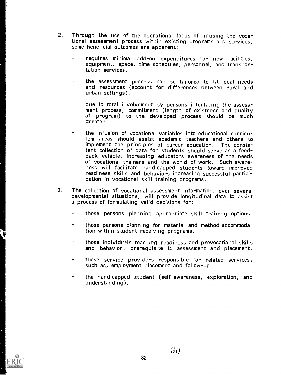- 2. Through the use of the operational focus of infusing the vocational assessment process within existing programs and services, some beneficial outcomes are apparent:
	- requires minimal add-on expenditures for new facilities, equipment, space, time schedules, personnel, and transportation services.
	- the assessment process can be tailored to fit local needs and resources (account for differences between rural and urban settings).
	- due to total involvement by persons interfacing the assess- ment process, commitment (length of existence and quality of program) to the developed process should be much greater.
	- the infusion of vocational variables into educational curriculum areas should assist academic teachers and others to implement the principles of career education. The consistent collection of data for students should serve as a feed-<br>back vehicle, increasing educators awareness of the needs of vocational trainers and the world of work. Such awareness will facilitate handicapped students toward improved readiness skills and behaviors increasing successful partici- pation in vocational skill training programs.
- 3. The collection of vocational assessment information, over several developmental situations, will provide longitudinal data to assist a process of formulating valid decisions for:
	- those persons planning appropriate skill training options.
	- those persons planning for material and method accommodation within student receiving programs.
	- those individuals teacting readiness and prevocational skills and behavior., prerequisite to assessment and placement.
	- those service providers responsible for related services, such as, employment placement and follow-up.
	- the handicapped student (self-awareness, exploration, and understanding).

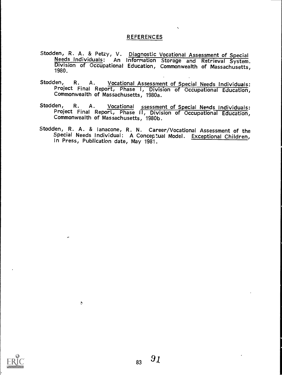#### REFERENCES

- Stodden, R. A. & Petzy, V. Diagnostic Vocational Assessment of Special<br>Needs Individuals: An Information Storage and Retrieval System.<br>Division of Occupational Education, Commonwealth of Massachusetts,<br>1980.
- Stodden, R. A. Vocational Assessment of Special Needs Individuals: Project Final Commonwealth of Massachusetts, 1980a. Vocational Assessment of Special Needs Individuals:<br>Report, Phase I, Division of Occupational Education,<br>of Massachusetts, 1980a.
- Stodden, R. A. Vocational ssessment of Special Needs Individuals: Project Final len, R. A. <u>Vocational ssessment\_of\_Special\_Needs\_Individuals</u>:<br>Project Final Report, Phase II, Division of Occupational Education,<br>Commonwealth\_of\_Massachusetts, 1980b.
- Stodden, R. A. & lanacone, R. N. Career/Vocational Assessment of the Special Needs Individual: A Conceptual Model. Exceptional Children, In Press, Publication date, May 1981.



 $\ddot{\circ}$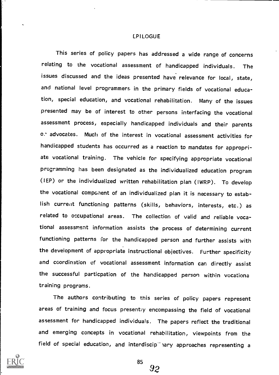#### LPILOGUE

This series of policy papers has addressed a wide range of concerns relating to the vocational assessment of handicapped individuals. The issues discussed and the ideas presented have relevance for local, state, and national level programmers, in the primary fields of vocational education, special education, and vocational rehabilitation. Many of the issues presented may be of interest to other persons interfacing the vocational assessment process, especially handicapped individuals and their parents 0. advocates. Much of the interest in vocational assessment activities for handicapped students has occurred as a reaction to mandates for appropriate vocational training. The vehicle for specifying appropriate vocational programming has been designated as the individualized education program (IEP) or the individualized written rehabilitation plan (IWRP). To develop the vocational component of an individualized plan it is necessary to establish current functioning patterns (skills, behaviors, interests, etc.) as related to occupational areas. The collection of valid and reliable vocational assessment information assists the process of determining current functioning patterns for the handicapped person and further assists with the development of appropriate instructional objectives. Further specificity and coordination of vocational assessment information can directly assist the successful particpation of the handicapped person within vocationa training programs.

The authors contributing to this series of policy papers represent areas of training and focus presentiy encompassing the field of vocational assessment for handicapped individuals. The papers reflect the traditional and emerging concepts in vocational rehabilitation, viewpoints from the field of special education, and interdiscip<sup>-</sup>  $n$ ary approaches representing a



85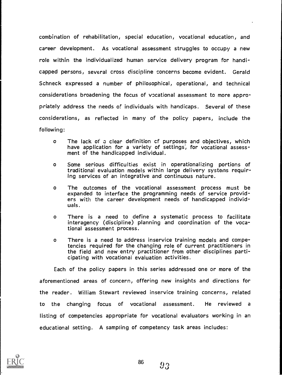combination of rehabilitation, special education, vocational education, and career development. As vocational assessment struggles to occupy a new role within the individualized human service delivery program for handicapped persons, several cross discipline concerns become evident. Gerald Schneck expressed a number of philosophical, operational, and technical considerations broadening the focus of vocational assessment to more appropriately address the needs of individuals with handicaps. Several of these considerations, as reflected in many of the policy papers, include the following:

- o The lack of a clear definition cf purposes and objectives, which have application for a variety of settings, for vocational assess-<br>ment of the handicapped individual.
- o Some serious difficulties exist in operationalizing portions of traditional evaluation models within large delivery systems requiring services of an integrative and continuous nature.
- o The outcomes of the vocational assessment process must be expanded to interface the programming needs of service provid-<br>ers with the career development needs of handicapped individuals.
- <sup>o</sup> There is <sup>a</sup> need to define a systematic process to facilitate interagency (discipline) planning and coordination of the vocational assessment process.
- o There is a need to address inservice training models and competencies required for the changing role of current practitioners in the field and new entry practitioner from other disciplines parti- cipating with vocational evaluation activities.

Each of the policy papers in this series addressed one or more of the aforementioned areas of concern, offering new insights and directions for the reader. William Stewart reviewed inservice training concerns, related to the changing focus of vocational assessment. He reviewed <sup>a</sup> listing of competencies appropriate for vocational evaluators working in an educational setting. A sampling of competency task areas includes:

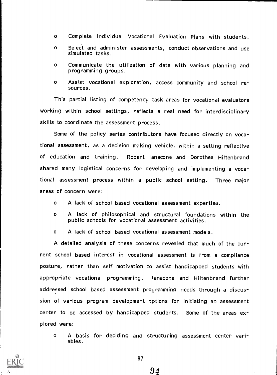- o Complete Individual Vocational Evaluation Plans with students.
- o Select and administer assessments, conduct observations and use simulated tasks.
- o Communicate the utilization of data with various planning and programming groups.
- <sup>o</sup> Assist vocational exploration, access community and school resources.

This partial listing of competency task areas for vocational evaluators working within school settings, reflects a real need for interdisciplinary skills to coordinate the assessment process.

Some of the policy series contributors have focused directly on vocational assessment, as a decision making vehicle, within a setting reflective of education and training. Robert lanacone and Dorothea Hiltenbrand shared many logistical concerns for developing and implementing a vocational assessment process within <sup>a</sup> public school setting. Three major areas of concern were:

- o A lack of school based vocational assessment expertise.
- o A lack of philosophical and structural foundations within the public schools for vocational assessment activities.
- o A lack of school based vocational assessment models.

A detailed analysis of these concerns revealed that much of the current school based interest in vocational assessment is from a compliance posture, rather than self motivation to assist handicapped students with appropriate vocational programming. lanacone and Hiltenbrand further addressed school based assessment programming needs through a discussion of various program development cptions for initiating an assessment center to be accessed by handicapped students. Some of the areas explored were:

o A basis for deciding and structuring assessment center variables.

94

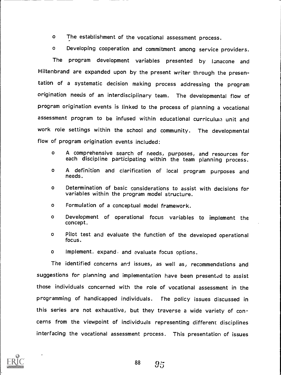o The establishment of the vocational assessment process.

o Developing cooperation and commitment among service providers.

The program development variables presented by lanacone and Hiltenbrand are expanded upon by the present writer through the presentation of <sup>a</sup> systematic decision making process addressing the program origination needs of an interdisciplinary team. The developmental flow of program origination events is linked to the process of planning a vocational assessment program to be infused within educational curriculum unit and work role settings within the school and community. The developmental flow of program origination events included:

- <sup>o</sup> A comprehensive search of needs, purposes, and resources for each discipline participating within the team planning process.
- <sup>o</sup> <sup>A</sup> definition and clarification of local program purposes and needs.
- o Determination of basic considerations to assist with decisions for variables within the program model structure.
- o Formulation of a conceptual model framework.
- o Development of operational focus variables to implement the concept.
- <sup>o</sup> Pilot test and evaluate the function of the developed operational focus.
- o Implement. expand. and evaluate focus options.

The identified concerns and issues, as well as, recommendations and suggestions for planning and implementation have been presented to assist those individuals concerned with the role of vocational assessment in the programming of handicapped individuals. The policy issues discussed in this series are not exhaustive, but they traverse a wide variety of concerns from the viewpoint of individuals representing different disciplines interfacing the vocational assessment process. This presentation of issues